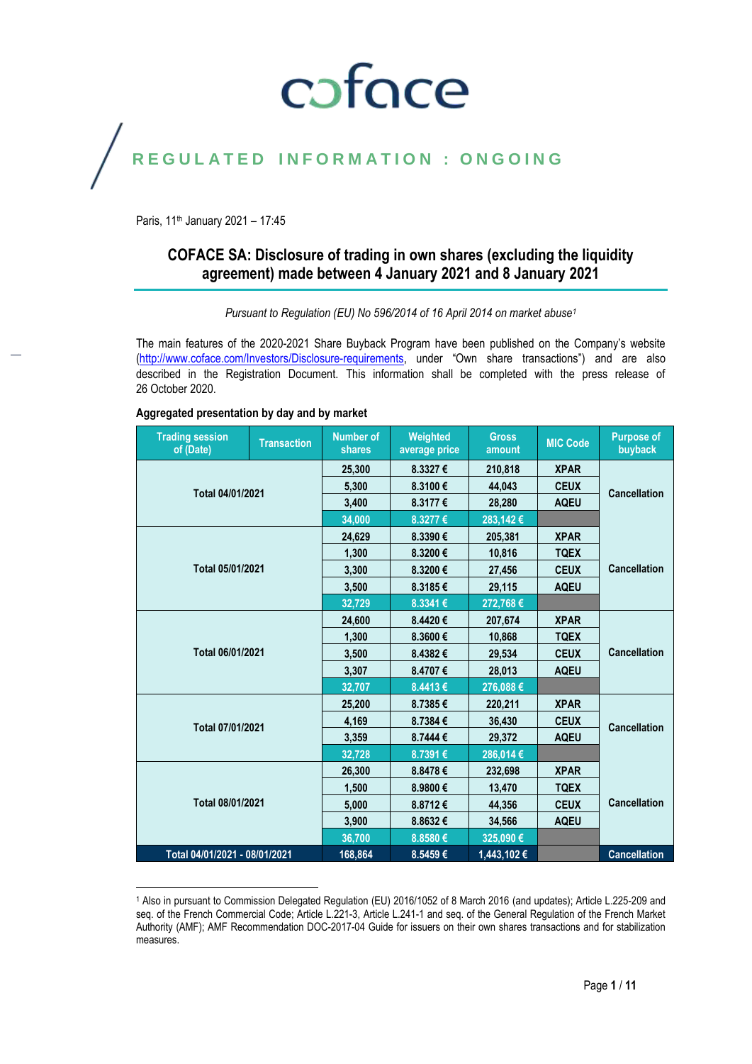## coface

### REGULATED INFORMATION : ONGOING

Paris, 11<sup>th</sup> January 2021 - 17:45

l

#### **COFACE SA: Disclosure of trading in own shares (excluding the liquidity agreement) made between 4 January 2021 and 8 January 2021**

*Pursuant to Regulation (EU) No 596/2014 of 16 April 2014 on market abuse<sup>1</sup>*

The main features of the 2020-2021 Share Buyback Program have been published on the Company's website [\(http://www.coface.com/Investors/Disclosure-requirements](http://www.coface.com/Investors/Disclosure-requirements), under "Own share transactions") and are also described in the Registration Document. This information shall be completed with the press release of 26 October 2020.

#### **Trading session of (Date) Transaction Number of shares Weighted average price Gross amount MIC Code Purpose of buyback Total 04/01/2021 25,300 8.3327 € 210,818 XPAR CEUX CANCELLA EXECUTE:** 144,043 **CEUX Cancellation**<br> **CANCELLA EXECUTE:** 28,280 **AQEU CANCELLA EXECUTE:**  $8.3177 \t\leq$ **34,000 8.3277 € 283,142 € Total 05/01/2021 24,629 8.3390 € 205,381 XPAR Cancellation 1,300 8.3200 € 10,816 TQEX 3,300 8.3200 € 27,456 CEUX 3,500 8.3185 € 29,115 AQEU 32,729 8.3341 € 272,768 € Total 06/01/2021 24,600 8.4420 € 207,674 XPAR Cancellation 1,300 8.3600 € 10,868 TQEX 3,500 8.4382 € 29,534 CEUX 3,307 8.4707 € 28,013 AQEU 32,707 8.4413 € 276,088 € Total 07/01/2021 25,200 8.7385 € 220,211 XPAR 2,169 b 8.7384 € 1 36,430 CEUX Cancellation**<br> **29,372 AQEU Cancellation**  $8.7444 \in$ **32,728 8.7391 € 286,014 € Total 08/01/2021 26,300 8.8478 € 232,698 XPAR Cancellation 1,500 8.9800 € 13,470 TQEX 5,000 8.8712 € 44,356 CEUX 3,900 8.8632 € 34,566 AQEU 36,700 8.8580 € 325,090 € Total 04/01/2021 - 08/01/2021 168,864 8.5459 € 1,443,102 € Cancellation**

#### **Aggregated presentation by day and by market**

<sup>1</sup> Also in pursuant to Commission Delegated Regulation (EU) 2016/1052 of 8 March 2016 (and updates); Article L.225-209 and seq. of the French Commercial Code; Article L.221-3, Article L.241-1 and seq. of the General Regulation of the French Market Authority (AMF); AMF Recommendation DOC-2017-04 Guide for issuers on their own shares transactions and for stabilization measures.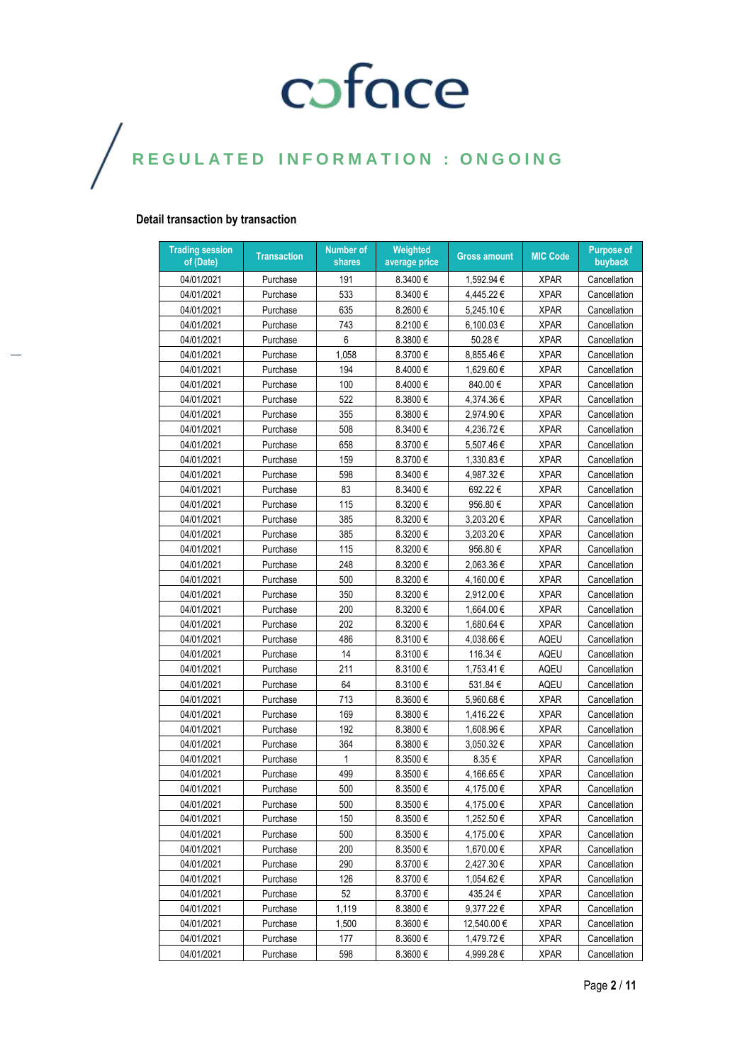#### **Detail transaction by transaction**

| 04/01/2021<br>Purchase<br>191<br>8.3400€<br>1,592.94 €<br><b>XPAR</b><br>Cancellation<br>533<br>04/01/2021<br>8.3400€<br><b>XPAR</b><br>Purchase<br>4,445.22€<br>Cancellation<br>635<br><b>XPAR</b><br>04/01/2021<br>Purchase<br>8.2600€<br>5,245.10€<br>Cancellation<br>743<br>04/01/2021<br>8.2100€<br>6,100.03€<br><b>XPAR</b><br>Cancellation<br>Purchase<br>6<br>50.28€<br>04/01/2021<br>8.3800€<br><b>XPAR</b><br>Cancellation<br>Purchase<br>04/01/2021<br>1,058<br>8.3700€<br>8,855.46€<br><b>XPAR</b><br>Cancellation<br>Purchase<br>194<br>04/01/2021<br>8.4000€<br>1,629.60 €<br><b>XPAR</b><br>Purchase<br>Cancellation<br>100<br>04/01/2021<br>8.4000€<br>840.00€<br><b>XPAR</b><br>Purchase<br>Cancellation<br>522<br>04/01/2021<br>8.3800€<br>4.374.36€<br><b>XPAR</b><br>Purchase<br>Cancellation<br>04/01/2021<br>355<br>8.3800€<br>2,974.90€<br><b>XPAR</b><br>Purchase<br>Cancellation<br>04/01/2021<br>508<br>8.3400€<br>4,236.72€<br><b>XPAR</b><br>Purchase<br>Cancellation<br>658<br>8.3700€<br><b>XPAR</b><br>04/01/2021<br>5,507.46€<br>Cancellation<br>Purchase<br>04/01/2021<br>159<br>8.3700€<br><b>XPAR</b><br>Purchase<br>1,330.83€<br>Cancellation<br>598<br>4,987.32€<br><b>XPAR</b><br>04/01/2021<br>8.3400€<br>Cancellation<br>Purchase<br>83<br>692.22€<br><b>XPAR</b><br>04/01/2021<br>Purchase<br>8.3400€<br>Cancellation<br>115<br>8.3200€<br><b>XPAR</b><br>04/01/2021<br>956.80€<br>Cancellation<br>Purchase<br>04/01/2021<br>385<br>8.3200€<br>3,203.20€<br><b>XPAR</b><br>Purchase<br>Cancellation<br>04/01/2021<br>385<br>8.3200€<br>3,203.20€<br><b>XPAR</b><br>Purchase<br>Cancellation<br>04/01/2021<br>Purchase<br>115<br>8.3200€<br>956.80€<br><b>XPAR</b><br>Cancellation<br>248<br>04/01/2021<br>8.3200€<br>2,063.36€<br><b>XPAR</b><br>Cancellation<br>Purchase<br>04/01/2021<br>500<br><b>XPAR</b><br>Purchase<br>8.3200€<br>4,160.00€<br>Cancellation<br>04/01/2021<br>350<br>8.3200€<br>2,912.00€<br><b>XPAR</b><br>Purchase<br>Cancellation<br>200<br><b>XPAR</b><br>04/01/2021<br>Purchase<br>8.3200€<br>1,664.00 €<br>Cancellation<br>202<br>04/01/2021<br>8.3200€<br>1,680.64 €<br><b>XPAR</b><br>Cancellation<br>Purchase<br>486<br><b>AQEU</b><br>04/01/2021<br>8.3100€<br>4,038.66 €<br>Cancellation<br>Purchase<br>14<br>116.34€<br>04/01/2021<br>Purchase<br>8.3100€<br><b>AQEU</b><br>Cancellation<br>04/01/2021<br>211<br>1,753.41€<br>Purchase<br>8.3100€<br>AQEU<br>Cancellation<br>64<br>531.84€<br>04/01/2021<br>8.3100€<br>AQEU<br>Cancellation<br>Purchase<br>04/01/2021<br>713<br>8.3600€<br>5,960.68€<br><b>XPAR</b><br>Cancellation<br>Purchase<br>169<br>04/01/2021<br>8.3800€<br>1,416.22 €<br><b>XPAR</b><br>Cancellation<br>Purchase<br>192<br>04/01/2021<br>8.3800€<br>1,608.96€<br><b>XPAR</b><br>Cancellation<br>Purchase<br>04/01/2021<br>364<br><b>XPAR</b><br>Purchase<br>8.3800€<br>3,050.32 €<br>Cancellation<br><b>XPAR</b><br>04/01/2021<br>Purchase<br>1<br>8.3500€<br>8.35€<br>Cancellation<br>04/01/2021<br>499<br><b>XPAR</b><br>8.3500€<br>4,166.65€<br>Cancellation<br>Purchase<br>500<br>04/01/2021<br>Purchase<br>8.3500€<br>4,175.00€<br><b>XPAR</b><br>Cancellation<br>04/01/2021<br>4,175.00€<br>Cancellation<br>8.3500€<br><b>XPAR</b><br>Purchase<br>500<br>8.3500€<br><b>XPAR</b><br>04/01/2021<br>150<br>1,252.50 €<br>Cancellation<br>Purchase<br>500<br>8.3500€<br><b>XPAR</b><br>04/01/2021<br>Purchase<br>4,175.00 €<br>Cancellation<br>200<br>8.3500€<br>04/01/2021<br>Purchase<br>1,670.00€<br><b>XPAR</b><br>Cancellation<br>290<br>04/01/2021<br>Purchase<br>$8.3700 \in$<br>2,427.30 €<br><b>XPAR</b><br>Cancellation<br>04/01/2021<br>Purchase<br>126<br>$8.3700 \in$<br>1,054.62 €<br><b>XPAR</b><br>Cancellation<br>52<br>04/01/2021<br>435.24 €<br><b>XPAR</b><br>Purchase<br>8.3700€<br>Cancellation<br>04/01/2021<br>Purchase<br>1,119<br>$8.3800 \in$<br>9,377.22 €<br><b>XPAR</b><br>Cancellation<br>04/01/2021<br>Purchase<br>1.500<br>$8.3600 \in$<br>12,540.00 €<br><b>XPAR</b><br>Cancellation<br>04/01/2021<br>Purchase<br>177<br>8.3600€<br>1,479.72 €<br><b>XPAR</b><br>Cancellation | <b>Trading session</b><br>of (Date) | <b>Transaction</b> | Number of<br>shares | Weighted<br>average price | <b>Gross amount</b> | <b>MIC Code</b> | <b>Purpose of</b><br>buyback |
|---------------------------------------------------------------------------------------------------------------------------------------------------------------------------------------------------------------------------------------------------------------------------------------------------------------------------------------------------------------------------------------------------------------------------------------------------------------------------------------------------------------------------------------------------------------------------------------------------------------------------------------------------------------------------------------------------------------------------------------------------------------------------------------------------------------------------------------------------------------------------------------------------------------------------------------------------------------------------------------------------------------------------------------------------------------------------------------------------------------------------------------------------------------------------------------------------------------------------------------------------------------------------------------------------------------------------------------------------------------------------------------------------------------------------------------------------------------------------------------------------------------------------------------------------------------------------------------------------------------------------------------------------------------------------------------------------------------------------------------------------------------------------------------------------------------------------------------------------------------------------------------------------------------------------------------------------------------------------------------------------------------------------------------------------------------------------------------------------------------------------------------------------------------------------------------------------------------------------------------------------------------------------------------------------------------------------------------------------------------------------------------------------------------------------------------------------------------------------------------------------------------------------------------------------------------------------------------------------------------------------------------------------------------------------------------------------------------------------------------------------------------------------------------------------------------------------------------------------------------------------------------------------------------------------------------------------------------------------------------------------------------------------------------------------------------------------------------------------------------------------------------------------------------------------------------------------------------------------------------------------------------------------------------------------------------------------------------------------------------------------------------------------------------------------------------------------------------------------------------------------------------------------------------------------------------------------------------------------------------------------------------------------------------------------------------------------------------------------------------------------------------------------------------------------------------------------------------------------------------------------------------------------------------------------------------------------------------------------------------------------------------------------------------------------------------------------------------------------------------------|-------------------------------------|--------------------|---------------------|---------------------------|---------------------|-----------------|------------------------------|
|                                                                                                                                                                                                                                                                                                                                                                                                                                                                                                                                                                                                                                                                                                                                                                                                                                                                                                                                                                                                                                                                                                                                                                                                                                                                                                                                                                                                                                                                                                                                                                                                                                                                                                                                                                                                                                                                                                                                                                                                                                                                                                                                                                                                                                                                                                                                                                                                                                                                                                                                                                                                                                                                                                                                                                                                                                                                                                                                                                                                                                                                                                                                                                                                                                                                                                                                                                                                                                                                                                                                                                                                                                                                                                                                                                                                                                                                                                                                                                                                                                                                                                                     |                                     |                    |                     |                           |                     |                 |                              |
|                                                                                                                                                                                                                                                                                                                                                                                                                                                                                                                                                                                                                                                                                                                                                                                                                                                                                                                                                                                                                                                                                                                                                                                                                                                                                                                                                                                                                                                                                                                                                                                                                                                                                                                                                                                                                                                                                                                                                                                                                                                                                                                                                                                                                                                                                                                                                                                                                                                                                                                                                                                                                                                                                                                                                                                                                                                                                                                                                                                                                                                                                                                                                                                                                                                                                                                                                                                                                                                                                                                                                                                                                                                                                                                                                                                                                                                                                                                                                                                                                                                                                                                     |                                     |                    |                     |                           |                     |                 |                              |
|                                                                                                                                                                                                                                                                                                                                                                                                                                                                                                                                                                                                                                                                                                                                                                                                                                                                                                                                                                                                                                                                                                                                                                                                                                                                                                                                                                                                                                                                                                                                                                                                                                                                                                                                                                                                                                                                                                                                                                                                                                                                                                                                                                                                                                                                                                                                                                                                                                                                                                                                                                                                                                                                                                                                                                                                                                                                                                                                                                                                                                                                                                                                                                                                                                                                                                                                                                                                                                                                                                                                                                                                                                                                                                                                                                                                                                                                                                                                                                                                                                                                                                                     |                                     |                    |                     |                           |                     |                 |                              |
|                                                                                                                                                                                                                                                                                                                                                                                                                                                                                                                                                                                                                                                                                                                                                                                                                                                                                                                                                                                                                                                                                                                                                                                                                                                                                                                                                                                                                                                                                                                                                                                                                                                                                                                                                                                                                                                                                                                                                                                                                                                                                                                                                                                                                                                                                                                                                                                                                                                                                                                                                                                                                                                                                                                                                                                                                                                                                                                                                                                                                                                                                                                                                                                                                                                                                                                                                                                                                                                                                                                                                                                                                                                                                                                                                                                                                                                                                                                                                                                                                                                                                                                     |                                     |                    |                     |                           |                     |                 |                              |
|                                                                                                                                                                                                                                                                                                                                                                                                                                                                                                                                                                                                                                                                                                                                                                                                                                                                                                                                                                                                                                                                                                                                                                                                                                                                                                                                                                                                                                                                                                                                                                                                                                                                                                                                                                                                                                                                                                                                                                                                                                                                                                                                                                                                                                                                                                                                                                                                                                                                                                                                                                                                                                                                                                                                                                                                                                                                                                                                                                                                                                                                                                                                                                                                                                                                                                                                                                                                                                                                                                                                                                                                                                                                                                                                                                                                                                                                                                                                                                                                                                                                                                                     |                                     |                    |                     |                           |                     |                 |                              |
|                                                                                                                                                                                                                                                                                                                                                                                                                                                                                                                                                                                                                                                                                                                                                                                                                                                                                                                                                                                                                                                                                                                                                                                                                                                                                                                                                                                                                                                                                                                                                                                                                                                                                                                                                                                                                                                                                                                                                                                                                                                                                                                                                                                                                                                                                                                                                                                                                                                                                                                                                                                                                                                                                                                                                                                                                                                                                                                                                                                                                                                                                                                                                                                                                                                                                                                                                                                                                                                                                                                                                                                                                                                                                                                                                                                                                                                                                                                                                                                                                                                                                                                     |                                     |                    |                     |                           |                     |                 |                              |
|                                                                                                                                                                                                                                                                                                                                                                                                                                                                                                                                                                                                                                                                                                                                                                                                                                                                                                                                                                                                                                                                                                                                                                                                                                                                                                                                                                                                                                                                                                                                                                                                                                                                                                                                                                                                                                                                                                                                                                                                                                                                                                                                                                                                                                                                                                                                                                                                                                                                                                                                                                                                                                                                                                                                                                                                                                                                                                                                                                                                                                                                                                                                                                                                                                                                                                                                                                                                                                                                                                                                                                                                                                                                                                                                                                                                                                                                                                                                                                                                                                                                                                                     |                                     |                    |                     |                           |                     |                 |                              |
|                                                                                                                                                                                                                                                                                                                                                                                                                                                                                                                                                                                                                                                                                                                                                                                                                                                                                                                                                                                                                                                                                                                                                                                                                                                                                                                                                                                                                                                                                                                                                                                                                                                                                                                                                                                                                                                                                                                                                                                                                                                                                                                                                                                                                                                                                                                                                                                                                                                                                                                                                                                                                                                                                                                                                                                                                                                                                                                                                                                                                                                                                                                                                                                                                                                                                                                                                                                                                                                                                                                                                                                                                                                                                                                                                                                                                                                                                                                                                                                                                                                                                                                     |                                     |                    |                     |                           |                     |                 |                              |
|                                                                                                                                                                                                                                                                                                                                                                                                                                                                                                                                                                                                                                                                                                                                                                                                                                                                                                                                                                                                                                                                                                                                                                                                                                                                                                                                                                                                                                                                                                                                                                                                                                                                                                                                                                                                                                                                                                                                                                                                                                                                                                                                                                                                                                                                                                                                                                                                                                                                                                                                                                                                                                                                                                                                                                                                                                                                                                                                                                                                                                                                                                                                                                                                                                                                                                                                                                                                                                                                                                                                                                                                                                                                                                                                                                                                                                                                                                                                                                                                                                                                                                                     |                                     |                    |                     |                           |                     |                 |                              |
|                                                                                                                                                                                                                                                                                                                                                                                                                                                                                                                                                                                                                                                                                                                                                                                                                                                                                                                                                                                                                                                                                                                                                                                                                                                                                                                                                                                                                                                                                                                                                                                                                                                                                                                                                                                                                                                                                                                                                                                                                                                                                                                                                                                                                                                                                                                                                                                                                                                                                                                                                                                                                                                                                                                                                                                                                                                                                                                                                                                                                                                                                                                                                                                                                                                                                                                                                                                                                                                                                                                                                                                                                                                                                                                                                                                                                                                                                                                                                                                                                                                                                                                     |                                     |                    |                     |                           |                     |                 |                              |
|                                                                                                                                                                                                                                                                                                                                                                                                                                                                                                                                                                                                                                                                                                                                                                                                                                                                                                                                                                                                                                                                                                                                                                                                                                                                                                                                                                                                                                                                                                                                                                                                                                                                                                                                                                                                                                                                                                                                                                                                                                                                                                                                                                                                                                                                                                                                                                                                                                                                                                                                                                                                                                                                                                                                                                                                                                                                                                                                                                                                                                                                                                                                                                                                                                                                                                                                                                                                                                                                                                                                                                                                                                                                                                                                                                                                                                                                                                                                                                                                                                                                                                                     |                                     |                    |                     |                           |                     |                 |                              |
|                                                                                                                                                                                                                                                                                                                                                                                                                                                                                                                                                                                                                                                                                                                                                                                                                                                                                                                                                                                                                                                                                                                                                                                                                                                                                                                                                                                                                                                                                                                                                                                                                                                                                                                                                                                                                                                                                                                                                                                                                                                                                                                                                                                                                                                                                                                                                                                                                                                                                                                                                                                                                                                                                                                                                                                                                                                                                                                                                                                                                                                                                                                                                                                                                                                                                                                                                                                                                                                                                                                                                                                                                                                                                                                                                                                                                                                                                                                                                                                                                                                                                                                     |                                     |                    |                     |                           |                     |                 |                              |
|                                                                                                                                                                                                                                                                                                                                                                                                                                                                                                                                                                                                                                                                                                                                                                                                                                                                                                                                                                                                                                                                                                                                                                                                                                                                                                                                                                                                                                                                                                                                                                                                                                                                                                                                                                                                                                                                                                                                                                                                                                                                                                                                                                                                                                                                                                                                                                                                                                                                                                                                                                                                                                                                                                                                                                                                                                                                                                                                                                                                                                                                                                                                                                                                                                                                                                                                                                                                                                                                                                                                                                                                                                                                                                                                                                                                                                                                                                                                                                                                                                                                                                                     |                                     |                    |                     |                           |                     |                 |                              |
|                                                                                                                                                                                                                                                                                                                                                                                                                                                                                                                                                                                                                                                                                                                                                                                                                                                                                                                                                                                                                                                                                                                                                                                                                                                                                                                                                                                                                                                                                                                                                                                                                                                                                                                                                                                                                                                                                                                                                                                                                                                                                                                                                                                                                                                                                                                                                                                                                                                                                                                                                                                                                                                                                                                                                                                                                                                                                                                                                                                                                                                                                                                                                                                                                                                                                                                                                                                                                                                                                                                                                                                                                                                                                                                                                                                                                                                                                                                                                                                                                                                                                                                     |                                     |                    |                     |                           |                     |                 |                              |
|                                                                                                                                                                                                                                                                                                                                                                                                                                                                                                                                                                                                                                                                                                                                                                                                                                                                                                                                                                                                                                                                                                                                                                                                                                                                                                                                                                                                                                                                                                                                                                                                                                                                                                                                                                                                                                                                                                                                                                                                                                                                                                                                                                                                                                                                                                                                                                                                                                                                                                                                                                                                                                                                                                                                                                                                                                                                                                                                                                                                                                                                                                                                                                                                                                                                                                                                                                                                                                                                                                                                                                                                                                                                                                                                                                                                                                                                                                                                                                                                                                                                                                                     |                                     |                    |                     |                           |                     |                 |                              |
|                                                                                                                                                                                                                                                                                                                                                                                                                                                                                                                                                                                                                                                                                                                                                                                                                                                                                                                                                                                                                                                                                                                                                                                                                                                                                                                                                                                                                                                                                                                                                                                                                                                                                                                                                                                                                                                                                                                                                                                                                                                                                                                                                                                                                                                                                                                                                                                                                                                                                                                                                                                                                                                                                                                                                                                                                                                                                                                                                                                                                                                                                                                                                                                                                                                                                                                                                                                                                                                                                                                                                                                                                                                                                                                                                                                                                                                                                                                                                                                                                                                                                                                     |                                     |                    |                     |                           |                     |                 |                              |
|                                                                                                                                                                                                                                                                                                                                                                                                                                                                                                                                                                                                                                                                                                                                                                                                                                                                                                                                                                                                                                                                                                                                                                                                                                                                                                                                                                                                                                                                                                                                                                                                                                                                                                                                                                                                                                                                                                                                                                                                                                                                                                                                                                                                                                                                                                                                                                                                                                                                                                                                                                                                                                                                                                                                                                                                                                                                                                                                                                                                                                                                                                                                                                                                                                                                                                                                                                                                                                                                                                                                                                                                                                                                                                                                                                                                                                                                                                                                                                                                                                                                                                                     |                                     |                    |                     |                           |                     |                 |                              |
|                                                                                                                                                                                                                                                                                                                                                                                                                                                                                                                                                                                                                                                                                                                                                                                                                                                                                                                                                                                                                                                                                                                                                                                                                                                                                                                                                                                                                                                                                                                                                                                                                                                                                                                                                                                                                                                                                                                                                                                                                                                                                                                                                                                                                                                                                                                                                                                                                                                                                                                                                                                                                                                                                                                                                                                                                                                                                                                                                                                                                                                                                                                                                                                                                                                                                                                                                                                                                                                                                                                                                                                                                                                                                                                                                                                                                                                                                                                                                                                                                                                                                                                     |                                     |                    |                     |                           |                     |                 |                              |
|                                                                                                                                                                                                                                                                                                                                                                                                                                                                                                                                                                                                                                                                                                                                                                                                                                                                                                                                                                                                                                                                                                                                                                                                                                                                                                                                                                                                                                                                                                                                                                                                                                                                                                                                                                                                                                                                                                                                                                                                                                                                                                                                                                                                                                                                                                                                                                                                                                                                                                                                                                                                                                                                                                                                                                                                                                                                                                                                                                                                                                                                                                                                                                                                                                                                                                                                                                                                                                                                                                                                                                                                                                                                                                                                                                                                                                                                                                                                                                                                                                                                                                                     |                                     |                    |                     |                           |                     |                 |                              |
|                                                                                                                                                                                                                                                                                                                                                                                                                                                                                                                                                                                                                                                                                                                                                                                                                                                                                                                                                                                                                                                                                                                                                                                                                                                                                                                                                                                                                                                                                                                                                                                                                                                                                                                                                                                                                                                                                                                                                                                                                                                                                                                                                                                                                                                                                                                                                                                                                                                                                                                                                                                                                                                                                                                                                                                                                                                                                                                                                                                                                                                                                                                                                                                                                                                                                                                                                                                                                                                                                                                                                                                                                                                                                                                                                                                                                                                                                                                                                                                                                                                                                                                     |                                     |                    |                     |                           |                     |                 |                              |
|                                                                                                                                                                                                                                                                                                                                                                                                                                                                                                                                                                                                                                                                                                                                                                                                                                                                                                                                                                                                                                                                                                                                                                                                                                                                                                                                                                                                                                                                                                                                                                                                                                                                                                                                                                                                                                                                                                                                                                                                                                                                                                                                                                                                                                                                                                                                                                                                                                                                                                                                                                                                                                                                                                                                                                                                                                                                                                                                                                                                                                                                                                                                                                                                                                                                                                                                                                                                                                                                                                                                                                                                                                                                                                                                                                                                                                                                                                                                                                                                                                                                                                                     |                                     |                    |                     |                           |                     |                 |                              |
|                                                                                                                                                                                                                                                                                                                                                                                                                                                                                                                                                                                                                                                                                                                                                                                                                                                                                                                                                                                                                                                                                                                                                                                                                                                                                                                                                                                                                                                                                                                                                                                                                                                                                                                                                                                                                                                                                                                                                                                                                                                                                                                                                                                                                                                                                                                                                                                                                                                                                                                                                                                                                                                                                                                                                                                                                                                                                                                                                                                                                                                                                                                                                                                                                                                                                                                                                                                                                                                                                                                                                                                                                                                                                                                                                                                                                                                                                                                                                                                                                                                                                                                     |                                     |                    |                     |                           |                     |                 |                              |
|                                                                                                                                                                                                                                                                                                                                                                                                                                                                                                                                                                                                                                                                                                                                                                                                                                                                                                                                                                                                                                                                                                                                                                                                                                                                                                                                                                                                                                                                                                                                                                                                                                                                                                                                                                                                                                                                                                                                                                                                                                                                                                                                                                                                                                                                                                                                                                                                                                                                                                                                                                                                                                                                                                                                                                                                                                                                                                                                                                                                                                                                                                                                                                                                                                                                                                                                                                                                                                                                                                                                                                                                                                                                                                                                                                                                                                                                                                                                                                                                                                                                                                                     |                                     |                    |                     |                           |                     |                 |                              |
|                                                                                                                                                                                                                                                                                                                                                                                                                                                                                                                                                                                                                                                                                                                                                                                                                                                                                                                                                                                                                                                                                                                                                                                                                                                                                                                                                                                                                                                                                                                                                                                                                                                                                                                                                                                                                                                                                                                                                                                                                                                                                                                                                                                                                                                                                                                                                                                                                                                                                                                                                                                                                                                                                                                                                                                                                                                                                                                                                                                                                                                                                                                                                                                                                                                                                                                                                                                                                                                                                                                                                                                                                                                                                                                                                                                                                                                                                                                                                                                                                                                                                                                     |                                     |                    |                     |                           |                     |                 |                              |
|                                                                                                                                                                                                                                                                                                                                                                                                                                                                                                                                                                                                                                                                                                                                                                                                                                                                                                                                                                                                                                                                                                                                                                                                                                                                                                                                                                                                                                                                                                                                                                                                                                                                                                                                                                                                                                                                                                                                                                                                                                                                                                                                                                                                                                                                                                                                                                                                                                                                                                                                                                                                                                                                                                                                                                                                                                                                                                                                                                                                                                                                                                                                                                                                                                                                                                                                                                                                                                                                                                                                                                                                                                                                                                                                                                                                                                                                                                                                                                                                                                                                                                                     |                                     |                    |                     |                           |                     |                 |                              |
|                                                                                                                                                                                                                                                                                                                                                                                                                                                                                                                                                                                                                                                                                                                                                                                                                                                                                                                                                                                                                                                                                                                                                                                                                                                                                                                                                                                                                                                                                                                                                                                                                                                                                                                                                                                                                                                                                                                                                                                                                                                                                                                                                                                                                                                                                                                                                                                                                                                                                                                                                                                                                                                                                                                                                                                                                                                                                                                                                                                                                                                                                                                                                                                                                                                                                                                                                                                                                                                                                                                                                                                                                                                                                                                                                                                                                                                                                                                                                                                                                                                                                                                     |                                     |                    |                     |                           |                     |                 |                              |
|                                                                                                                                                                                                                                                                                                                                                                                                                                                                                                                                                                                                                                                                                                                                                                                                                                                                                                                                                                                                                                                                                                                                                                                                                                                                                                                                                                                                                                                                                                                                                                                                                                                                                                                                                                                                                                                                                                                                                                                                                                                                                                                                                                                                                                                                                                                                                                                                                                                                                                                                                                                                                                                                                                                                                                                                                                                                                                                                                                                                                                                                                                                                                                                                                                                                                                                                                                                                                                                                                                                                                                                                                                                                                                                                                                                                                                                                                                                                                                                                                                                                                                                     |                                     |                    |                     |                           |                     |                 |                              |
|                                                                                                                                                                                                                                                                                                                                                                                                                                                                                                                                                                                                                                                                                                                                                                                                                                                                                                                                                                                                                                                                                                                                                                                                                                                                                                                                                                                                                                                                                                                                                                                                                                                                                                                                                                                                                                                                                                                                                                                                                                                                                                                                                                                                                                                                                                                                                                                                                                                                                                                                                                                                                                                                                                                                                                                                                                                                                                                                                                                                                                                                                                                                                                                                                                                                                                                                                                                                                                                                                                                                                                                                                                                                                                                                                                                                                                                                                                                                                                                                                                                                                                                     |                                     |                    |                     |                           |                     |                 |                              |
|                                                                                                                                                                                                                                                                                                                                                                                                                                                                                                                                                                                                                                                                                                                                                                                                                                                                                                                                                                                                                                                                                                                                                                                                                                                                                                                                                                                                                                                                                                                                                                                                                                                                                                                                                                                                                                                                                                                                                                                                                                                                                                                                                                                                                                                                                                                                                                                                                                                                                                                                                                                                                                                                                                                                                                                                                                                                                                                                                                                                                                                                                                                                                                                                                                                                                                                                                                                                                                                                                                                                                                                                                                                                                                                                                                                                                                                                                                                                                                                                                                                                                                                     |                                     |                    |                     |                           |                     |                 |                              |
|                                                                                                                                                                                                                                                                                                                                                                                                                                                                                                                                                                                                                                                                                                                                                                                                                                                                                                                                                                                                                                                                                                                                                                                                                                                                                                                                                                                                                                                                                                                                                                                                                                                                                                                                                                                                                                                                                                                                                                                                                                                                                                                                                                                                                                                                                                                                                                                                                                                                                                                                                                                                                                                                                                                                                                                                                                                                                                                                                                                                                                                                                                                                                                                                                                                                                                                                                                                                                                                                                                                                                                                                                                                                                                                                                                                                                                                                                                                                                                                                                                                                                                                     |                                     |                    |                     |                           |                     |                 |                              |
|                                                                                                                                                                                                                                                                                                                                                                                                                                                                                                                                                                                                                                                                                                                                                                                                                                                                                                                                                                                                                                                                                                                                                                                                                                                                                                                                                                                                                                                                                                                                                                                                                                                                                                                                                                                                                                                                                                                                                                                                                                                                                                                                                                                                                                                                                                                                                                                                                                                                                                                                                                                                                                                                                                                                                                                                                                                                                                                                                                                                                                                                                                                                                                                                                                                                                                                                                                                                                                                                                                                                                                                                                                                                                                                                                                                                                                                                                                                                                                                                                                                                                                                     |                                     |                    |                     |                           |                     |                 |                              |
|                                                                                                                                                                                                                                                                                                                                                                                                                                                                                                                                                                                                                                                                                                                                                                                                                                                                                                                                                                                                                                                                                                                                                                                                                                                                                                                                                                                                                                                                                                                                                                                                                                                                                                                                                                                                                                                                                                                                                                                                                                                                                                                                                                                                                                                                                                                                                                                                                                                                                                                                                                                                                                                                                                                                                                                                                                                                                                                                                                                                                                                                                                                                                                                                                                                                                                                                                                                                                                                                                                                                                                                                                                                                                                                                                                                                                                                                                                                                                                                                                                                                                                                     |                                     |                    |                     |                           |                     |                 |                              |
|                                                                                                                                                                                                                                                                                                                                                                                                                                                                                                                                                                                                                                                                                                                                                                                                                                                                                                                                                                                                                                                                                                                                                                                                                                                                                                                                                                                                                                                                                                                                                                                                                                                                                                                                                                                                                                                                                                                                                                                                                                                                                                                                                                                                                                                                                                                                                                                                                                                                                                                                                                                                                                                                                                                                                                                                                                                                                                                                                                                                                                                                                                                                                                                                                                                                                                                                                                                                                                                                                                                                                                                                                                                                                                                                                                                                                                                                                                                                                                                                                                                                                                                     |                                     |                    |                     |                           |                     |                 |                              |
|                                                                                                                                                                                                                                                                                                                                                                                                                                                                                                                                                                                                                                                                                                                                                                                                                                                                                                                                                                                                                                                                                                                                                                                                                                                                                                                                                                                                                                                                                                                                                                                                                                                                                                                                                                                                                                                                                                                                                                                                                                                                                                                                                                                                                                                                                                                                                                                                                                                                                                                                                                                                                                                                                                                                                                                                                                                                                                                                                                                                                                                                                                                                                                                                                                                                                                                                                                                                                                                                                                                                                                                                                                                                                                                                                                                                                                                                                                                                                                                                                                                                                                                     |                                     |                    |                     |                           |                     |                 |                              |
|                                                                                                                                                                                                                                                                                                                                                                                                                                                                                                                                                                                                                                                                                                                                                                                                                                                                                                                                                                                                                                                                                                                                                                                                                                                                                                                                                                                                                                                                                                                                                                                                                                                                                                                                                                                                                                                                                                                                                                                                                                                                                                                                                                                                                                                                                                                                                                                                                                                                                                                                                                                                                                                                                                                                                                                                                                                                                                                                                                                                                                                                                                                                                                                                                                                                                                                                                                                                                                                                                                                                                                                                                                                                                                                                                                                                                                                                                                                                                                                                                                                                                                                     |                                     |                    |                     |                           |                     |                 |                              |
|                                                                                                                                                                                                                                                                                                                                                                                                                                                                                                                                                                                                                                                                                                                                                                                                                                                                                                                                                                                                                                                                                                                                                                                                                                                                                                                                                                                                                                                                                                                                                                                                                                                                                                                                                                                                                                                                                                                                                                                                                                                                                                                                                                                                                                                                                                                                                                                                                                                                                                                                                                                                                                                                                                                                                                                                                                                                                                                                                                                                                                                                                                                                                                                                                                                                                                                                                                                                                                                                                                                                                                                                                                                                                                                                                                                                                                                                                                                                                                                                                                                                                                                     |                                     |                    |                     |                           |                     |                 |                              |
|                                                                                                                                                                                                                                                                                                                                                                                                                                                                                                                                                                                                                                                                                                                                                                                                                                                                                                                                                                                                                                                                                                                                                                                                                                                                                                                                                                                                                                                                                                                                                                                                                                                                                                                                                                                                                                                                                                                                                                                                                                                                                                                                                                                                                                                                                                                                                                                                                                                                                                                                                                                                                                                                                                                                                                                                                                                                                                                                                                                                                                                                                                                                                                                                                                                                                                                                                                                                                                                                                                                                                                                                                                                                                                                                                                                                                                                                                                                                                                                                                                                                                                                     |                                     |                    |                     |                           |                     |                 |                              |
|                                                                                                                                                                                                                                                                                                                                                                                                                                                                                                                                                                                                                                                                                                                                                                                                                                                                                                                                                                                                                                                                                                                                                                                                                                                                                                                                                                                                                                                                                                                                                                                                                                                                                                                                                                                                                                                                                                                                                                                                                                                                                                                                                                                                                                                                                                                                                                                                                                                                                                                                                                                                                                                                                                                                                                                                                                                                                                                                                                                                                                                                                                                                                                                                                                                                                                                                                                                                                                                                                                                                                                                                                                                                                                                                                                                                                                                                                                                                                                                                                                                                                                                     |                                     |                    |                     |                           |                     |                 |                              |
|                                                                                                                                                                                                                                                                                                                                                                                                                                                                                                                                                                                                                                                                                                                                                                                                                                                                                                                                                                                                                                                                                                                                                                                                                                                                                                                                                                                                                                                                                                                                                                                                                                                                                                                                                                                                                                                                                                                                                                                                                                                                                                                                                                                                                                                                                                                                                                                                                                                                                                                                                                                                                                                                                                                                                                                                                                                                                                                                                                                                                                                                                                                                                                                                                                                                                                                                                                                                                                                                                                                                                                                                                                                                                                                                                                                                                                                                                                                                                                                                                                                                                                                     |                                     |                    |                     |                           |                     |                 |                              |
|                                                                                                                                                                                                                                                                                                                                                                                                                                                                                                                                                                                                                                                                                                                                                                                                                                                                                                                                                                                                                                                                                                                                                                                                                                                                                                                                                                                                                                                                                                                                                                                                                                                                                                                                                                                                                                                                                                                                                                                                                                                                                                                                                                                                                                                                                                                                                                                                                                                                                                                                                                                                                                                                                                                                                                                                                                                                                                                                                                                                                                                                                                                                                                                                                                                                                                                                                                                                                                                                                                                                                                                                                                                                                                                                                                                                                                                                                                                                                                                                                                                                                                                     |                                     |                    |                     |                           |                     |                 |                              |
|                                                                                                                                                                                                                                                                                                                                                                                                                                                                                                                                                                                                                                                                                                                                                                                                                                                                                                                                                                                                                                                                                                                                                                                                                                                                                                                                                                                                                                                                                                                                                                                                                                                                                                                                                                                                                                                                                                                                                                                                                                                                                                                                                                                                                                                                                                                                                                                                                                                                                                                                                                                                                                                                                                                                                                                                                                                                                                                                                                                                                                                                                                                                                                                                                                                                                                                                                                                                                                                                                                                                                                                                                                                                                                                                                                                                                                                                                                                                                                                                                                                                                                                     |                                     |                    |                     |                           |                     |                 |                              |
|                                                                                                                                                                                                                                                                                                                                                                                                                                                                                                                                                                                                                                                                                                                                                                                                                                                                                                                                                                                                                                                                                                                                                                                                                                                                                                                                                                                                                                                                                                                                                                                                                                                                                                                                                                                                                                                                                                                                                                                                                                                                                                                                                                                                                                                                                                                                                                                                                                                                                                                                                                                                                                                                                                                                                                                                                                                                                                                                                                                                                                                                                                                                                                                                                                                                                                                                                                                                                                                                                                                                                                                                                                                                                                                                                                                                                                                                                                                                                                                                                                                                                                                     |                                     |                    |                     |                           |                     |                 |                              |
|                                                                                                                                                                                                                                                                                                                                                                                                                                                                                                                                                                                                                                                                                                                                                                                                                                                                                                                                                                                                                                                                                                                                                                                                                                                                                                                                                                                                                                                                                                                                                                                                                                                                                                                                                                                                                                                                                                                                                                                                                                                                                                                                                                                                                                                                                                                                                                                                                                                                                                                                                                                                                                                                                                                                                                                                                                                                                                                                                                                                                                                                                                                                                                                                                                                                                                                                                                                                                                                                                                                                                                                                                                                                                                                                                                                                                                                                                                                                                                                                                                                                                                                     |                                     |                    |                     |                           |                     |                 |                              |
|                                                                                                                                                                                                                                                                                                                                                                                                                                                                                                                                                                                                                                                                                                                                                                                                                                                                                                                                                                                                                                                                                                                                                                                                                                                                                                                                                                                                                                                                                                                                                                                                                                                                                                                                                                                                                                                                                                                                                                                                                                                                                                                                                                                                                                                                                                                                                                                                                                                                                                                                                                                                                                                                                                                                                                                                                                                                                                                                                                                                                                                                                                                                                                                                                                                                                                                                                                                                                                                                                                                                                                                                                                                                                                                                                                                                                                                                                                                                                                                                                                                                                                                     |                                     |                    |                     |                           |                     |                 |                              |
|                                                                                                                                                                                                                                                                                                                                                                                                                                                                                                                                                                                                                                                                                                                                                                                                                                                                                                                                                                                                                                                                                                                                                                                                                                                                                                                                                                                                                                                                                                                                                                                                                                                                                                                                                                                                                                                                                                                                                                                                                                                                                                                                                                                                                                                                                                                                                                                                                                                                                                                                                                                                                                                                                                                                                                                                                                                                                                                                                                                                                                                                                                                                                                                                                                                                                                                                                                                                                                                                                                                                                                                                                                                                                                                                                                                                                                                                                                                                                                                                                                                                                                                     |                                     |                    |                     |                           |                     |                 |                              |
| 04/01/2021<br>598<br>8.3600€<br>4,999.28€<br><b>XPAR</b><br>Purchase<br>Cancellation                                                                                                                                                                                                                                                                                                                                                                                                                                                                                                                                                                                                                                                                                                                                                                                                                                                                                                                                                                                                                                                                                                                                                                                                                                                                                                                                                                                                                                                                                                                                                                                                                                                                                                                                                                                                                                                                                                                                                                                                                                                                                                                                                                                                                                                                                                                                                                                                                                                                                                                                                                                                                                                                                                                                                                                                                                                                                                                                                                                                                                                                                                                                                                                                                                                                                                                                                                                                                                                                                                                                                                                                                                                                                                                                                                                                                                                                                                                                                                                                                                |                                     |                    |                     |                           |                     |                 |                              |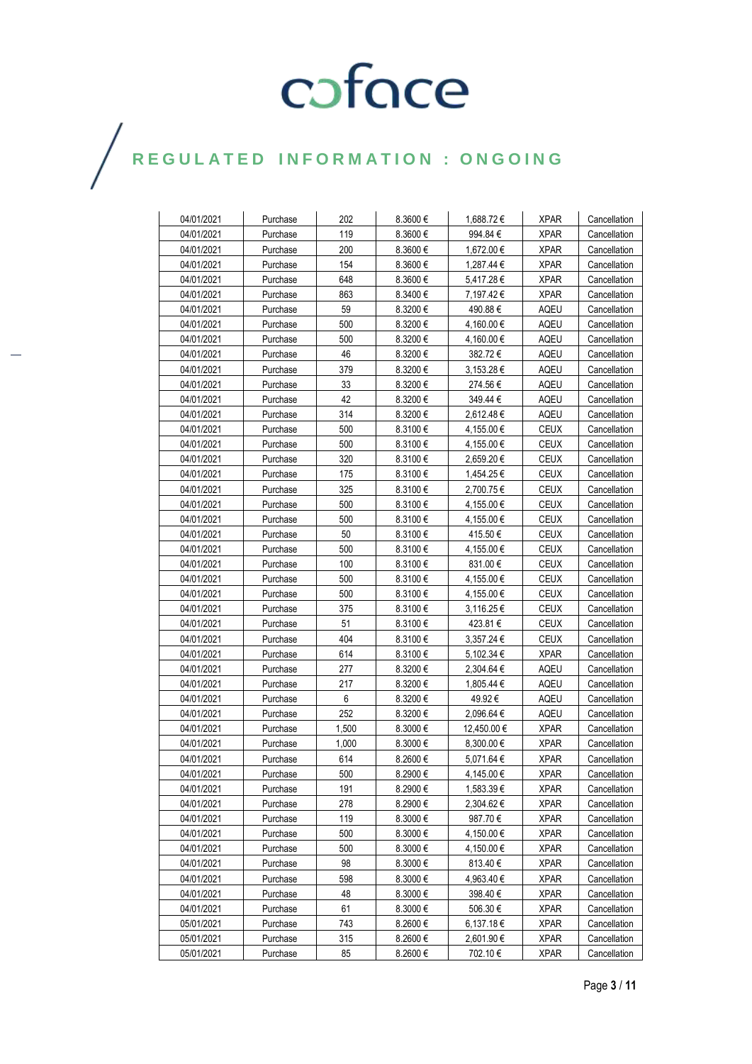| 04/01/2021 | Purchase | 202   | 8.3600€      | 1,688.72 €     | <b>XPAR</b> | Cancellation |
|------------|----------|-------|--------------|----------------|-------------|--------------|
| 04/01/2021 | Purchase | 119   | 8.3600€      | 994.84 €       | <b>XPAR</b> | Cancellation |
| 04/01/2021 | Purchase | 200   | 8.3600€      | 1,672.00 €     | <b>XPAR</b> | Cancellation |
| 04/01/2021 | Purchase | 154   | $8.3600 \in$ | 1,287.44 €     | <b>XPAR</b> | Cancellation |
| 04/01/2021 | Purchase | 648   | $8.3600 \in$ | 5,417.28€      | <b>XPAR</b> | Cancellation |
| 04/01/2021 | Purchase | 863   | 8.3400€      | 7,197.42€      | <b>XPAR</b> | Cancellation |
| 04/01/2021 | Purchase | 59    | 8.3200€      | 490.88€        | AQEU        | Cancellation |
| 04/01/2021 | Purchase | 500   | $8.3200 \in$ | 4,160.00 €     | AQEU        | Cancellation |
| 04/01/2021 | Purchase | 500   | $8.3200 \in$ | 4,160.00 €     | AQEU        | Cancellation |
| 04/01/2021 | Purchase | 46    | 8.3200€      | 382.72€        | <b>AQEU</b> | Cancellation |
| 04/01/2021 | Purchase | 379   | $8.3200 \in$ | $3,153.28 \in$ | AQEU        | Cancellation |
| 04/01/2021 | Purchase | 33    | $8.3200 \in$ | 274.56€        | <b>AQEU</b> | Cancellation |
| 04/01/2021 | Purchase | 42    | $8.3200 \in$ | 349.44 €       | AQEU        | Cancellation |
| 04/01/2021 | Purchase | 314   | $8.3200 \in$ | 2,612.48 €     | AQEU        | Cancellation |
| 04/01/2021 | Purchase | 500   | $8.3100 \in$ | 4,155.00 €     | <b>CEUX</b> | Cancellation |
| 04/01/2021 | Purchase | 500   | $8.3100 \in$ | 4,155.00 €     | CEUX        | Cancellation |
| 04/01/2021 | Purchase | 320   | 8.3100€      | 2,659.20€      | CEUX        | Cancellation |
| 04/01/2021 | Purchase | 175   | 8.3100€      | 1,454.25 €     | CEUX        | Cancellation |
| 04/01/2021 | Purchase | 325   | $8.3100 \in$ | 2.700.75€      | CEUX        | Cancellation |
| 04/01/2021 | Purchase | 500   | $8.3100 \in$ | 4,155.00 €     | CEUX        | Cancellation |
| 04/01/2021 | Purchase | 500   | $8.3100 \in$ | 4,155.00 €     | CEUX        | Cancellation |
| 04/01/2021 | Purchase | 50    | $8.3100 \in$ | 415.50€        | CEUX        | Cancellation |
| 04/01/2021 | Purchase | 500   | $8.3100 \in$ | 4,155.00 €     | CEUX        | Cancellation |
| 04/01/2021 | Purchase | 100   | $8.3100 \in$ | 831.00 €       | <b>CEUX</b> | Cancellation |
| 04/01/2021 | Purchase | 500   | $8.3100 \in$ | 4,155.00 €     | <b>CEUX</b> | Cancellation |
| 04/01/2021 | Purchase | 500   | 8.3100€      | 4,155.00 €     | <b>CEUX</b> | Cancellation |
| 04/01/2021 | Purchase | 375   | $8.3100 \in$ | 3,116.25 €     | <b>CEUX</b> | Cancellation |
| 04/01/2021 | Purchase | 51    | $8.3100 \in$ | 423.81 €       | CEUX        | Cancellation |
| 04/01/2021 | Purchase | 404   | $8.3100 \in$ | 3,357.24 €     | <b>CEUX</b> | Cancellation |
| 04/01/2021 | Purchase | 614   | 8.3100€      | 5,102.34 €     | <b>XPAR</b> | Cancellation |
| 04/01/2021 | Purchase | 277   | 8.3200€      | 2,304.64 €     | <b>AQEU</b> | Cancellation |
| 04/01/2021 | Purchase | 217   | 8.3200€      | 1,805.44 €     | <b>AQEU</b> | Cancellation |
| 04/01/2021 | Purchase | 6     | 8.3200 €     | 49.92€         | AQEU        | Cancellation |
| 04/01/2021 | Purchase | 252   | 8.3200€      | 2,096.64 €     | AQEU        | Cancellation |
| 04/01/2021 | Purchase | 1,500 | 8.3000€      | 12,450.00 €    | <b>XPAR</b> | Cancellation |
| 04/01/2021 | Purchase | 1,000 | 8.3000€      | 8,300.00 €     | <b>XPAR</b> | Cancellation |
| 04/01/2021 | Purchase | 614   | $8.2600 \in$ | 5,071.64 €     | <b>XPAR</b> | Cancellation |
| 04/01/2021 | Purchase | 500   | 8.2900€      | 4,145.00€      | <b>XPAR</b> | Cancellation |
| 04/01/2021 | Purchase | 191   | 8.2900€      | 1,583.39€      | XPAR        | Cancellation |
| 04/01/2021 | Purchase | 278   | 8.2900€      | 2,304.62 €     | XPAR        | Cancellation |
| 04/01/2021 | Purchase | 119   | $8.3000 \in$ | 987.70€        | <b>XPAR</b> | Cancellation |
| 04/01/2021 | Purchase | 500   | 8.3000€      | 4,150.00 €     | <b>XPAR</b> | Cancellation |
| 04/01/2021 | Purchase | 500   | 8.3000€      | 4,150.00 €     | <b>XPAR</b> | Cancellation |
| 04/01/2021 | Purchase | 98    | 8.3000 €     | 813.40€        | <b>XPAR</b> | Cancellation |
| 04/01/2021 | Purchase | 598   | 8.3000€      | 4,963.40 €     | <b>XPAR</b> | Cancellation |
| 04/01/2021 | Purchase | 48    | 8.3000€      | 398.40€        | <b>XPAR</b> | Cancellation |
| 04/01/2021 | Purchase | 61    | 8.3000€      | 506.30€        | <b>XPAR</b> | Cancellation |
| 05/01/2021 | Purchase | 743   | 8.2600€      | 6,137.18€      | <b>XPAR</b> | Cancellation |
| 05/01/2021 | Purchase | 315   | 8.2600€      | 2,601.90€      | <b>XPAR</b> | Cancellation |
| 05/01/2021 | Purchase | 85    | 8.2600€      | 702.10 €       | <b>XPAR</b> | Cancellation |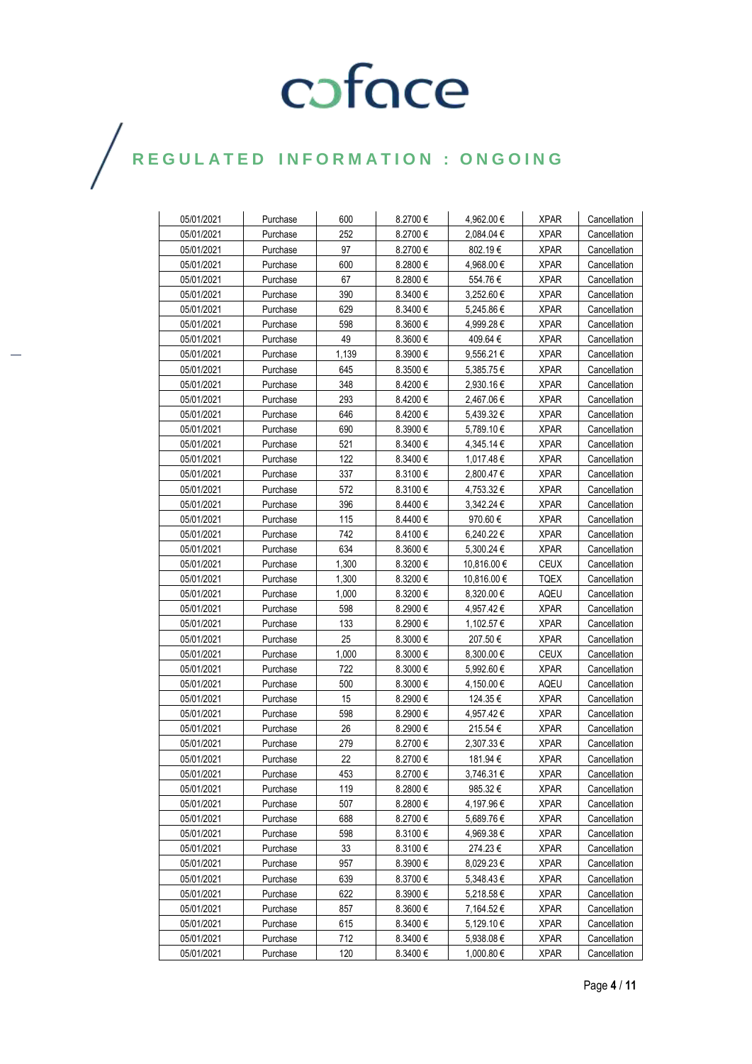| 05/01/2021 | Purchase | 600   | 8.2700€      | 4,962.00 €     | <b>XPAR</b> | Cancellation |
|------------|----------|-------|--------------|----------------|-------------|--------------|
| 05/01/2021 | Purchase | 252   | 8.2700€      | 2,084.04 €     | <b>XPAR</b> | Cancellation |
| 05/01/2021 | Purchase | 97    | 8.2700 €     | 802.19€        | <b>XPAR</b> | Cancellation |
| 05/01/2021 | Purchase | 600   | 8.2800 €     | 4,968.00 €     | <b>XPAR</b> | Cancellation |
| 05/01/2021 | Purchase | 67    | 8.2800€      | 554.76€        | <b>XPAR</b> | Cancellation |
| 05/01/2021 | Purchase | 390   | 8.3400€      | 3,252.60 €     | <b>XPAR</b> | Cancellation |
| 05/01/2021 | Purchase | 629   | $8.3400 \in$ | 5,245.86 €     | <b>XPAR</b> | Cancellation |
| 05/01/2021 | Purchase | 598   | $8.3600 \in$ | 4,999.28 €     | <b>XPAR</b> | Cancellation |
| 05/01/2021 | Purchase | 49    | $8.3600 \in$ | 409.64 €       | <b>XPAR</b> | Cancellation |
| 05/01/2021 | Purchase | 1.139 | 8.3900 €     | 9,556.21€      | <b>XPAR</b> | Cancellation |
| 05/01/2021 | Purchase | 645   | 8.3500€      | 5,385.75€      | <b>XPAR</b> | Cancellation |
| 05/01/2021 | Purchase | 348   | 8.4200€      | 2,930.16 €     | <b>XPAR</b> | Cancellation |
| 05/01/2021 | Purchase | 293   | 8.4200 €     | 2,467.06€      | XPAR        | Cancellation |
| 05/01/2021 | Purchase | 646   | 8.4200 €     | $5,439.32 \in$ | <b>XPAR</b> | Cancellation |
| 05/01/2021 | Purchase | 690   | 8.3900€      | 5,789.10 €     | <b>XPAR</b> | Cancellation |
| 05/01/2021 | Purchase | 521   | $8.3400 \in$ | 4,345.14 €     | <b>XPAR</b> | Cancellation |
| 05/01/2021 | Purchase | 122   | 8.3400 €     | 1.017.48€      | <b>XPAR</b> | Cancellation |
| 05/01/2021 | Purchase | 337   | 8.3100€      | 2,800.47 €     | <b>XPAR</b> | Cancellation |
| 05/01/2021 | Purchase | 572   | $8.3100 \in$ | 4,753.32€      | XPAR        | Cancellation |
| 05/01/2021 | Purchase | 396   | $8.4400 \in$ | 3,342.24 €     | <b>XPAR</b> | Cancellation |
| 05/01/2021 | Purchase | 115   | $8.4400 \in$ | 970.60€        | <b>XPAR</b> | Cancellation |
| 05/01/2021 | Purchase | 742   | 8.4100€      | 6,240.22€      | <b>XPAR</b> | Cancellation |
| 05/01/2021 | Purchase | 634   | $8.3600 \in$ | 5.300.24 €     | <b>XPAR</b> | Cancellation |
| 05/01/2021 | Purchase | 1,300 | $8.3200 \in$ | 10,816.00 €    | <b>CEUX</b> | Cancellation |
| 05/01/2021 | Purchase | 1,300 | 8.3200€      | 10,816.00 €    | <b>TQEX</b> | Cancellation |
| 05/01/2021 | Purchase | 1,000 | 8.3200€      | 8,320.00 €     | <b>AQEU</b> | Cancellation |
| 05/01/2021 | Purchase | 598   | 8.2900€      | 4,957.42€      | <b>XPAR</b> | Cancellation |
| 05/01/2021 | Purchase | 133   | 8.2900€      | 1,102.57 €     | XPAR        | Cancellation |
| 05/01/2021 | Purchase | 25    | $8.3000 \in$ | 207.50 €       | <b>XPAR</b> | Cancellation |
| 05/01/2021 | Purchase | 1,000 | 8.3000€      | $8,300.00 \in$ | <b>CEUX</b> | Cancellation |
| 05/01/2021 | Purchase | 722   | 8.3000€      | 5,992.60€      | <b>XPAR</b> | Cancellation |
| 05/01/2021 | Purchase | 500   | 8.3000€      | 4,150.00 €     | <b>AQEU</b> | Cancellation |
| 05/01/2021 | Purchase | 15    | 8.2900€      | 124.35 €       | <b>XPAR</b> | Cancellation |
| 05/01/2021 | Purchase | 598   | 8.2900€      | 4,957.42 €     | <b>XPAR</b> | Cancellation |
| 05/01/2021 | Purchase | 26    | 8.2900€      | 215.54 €       | <b>XPAR</b> | Cancellation |
| 05/01/2021 | Purchase | 279   | 8.2700€      | 2,307.33€      | <b>XPAR</b> | Cancellation |
| 05/01/2021 | Purchase | 22    | 8.2700€      | 181.94 €       | <b>XPAR</b> | Cancellation |
| 05/01/2021 | Purchase | 453   | 8.2700€      | 3,746.31€      | <b>XPAR</b> | Cancellation |
| 05/01/2021 | Purchase | 119   | $8.2800 \in$ | 985.32€        | XPAR        | Cancellation |
| 05/01/2021 | Purchase | 507   | $8.2800 \in$ | 4,197.96 €     | XPAR        | Cancellation |
| 05/01/2021 | Purchase | 688   | 8.2700 €     | 5,689.76€      | <b>XPAR</b> | Cancellation |
| 05/01/2021 | Purchase | 598   | $8.3100 \in$ | 4,969.38 €     | <b>XPAR</b> | Cancellation |
| 05/01/2021 | Purchase | 33    | 8.3100€      | 274.23€        | <b>XPAR</b> | Cancellation |
| 05/01/2021 | Purchase | 957   | 8.3900€      | 8,029.23€      | <b>XPAR</b> | Cancellation |
| 05/01/2021 | Purchase | 639   | 8.3700€      | 5,348.43€      | <b>XPAR</b> | Cancellation |
| 05/01/2021 | Purchase | 622   | 8.3900€      | 5,218.58€      | <b>XPAR</b> | Cancellation |
| 05/01/2021 | Purchase | 857   | 8.3600€      | 7,164.52€      | <b>XPAR</b> | Cancellation |
| 05/01/2021 | Purchase | 615   | 8.3400€      | 5,129.10 €     | <b>XPAR</b> | Cancellation |
| 05/01/2021 | Purchase | 712   | 8.3400€      | 5,938.08€      | <b>XPAR</b> | Cancellation |
| 05/01/2021 | Purchase | 120   | 8.3400 €     | 1,000.80 €     | <b>XPAR</b> | Cancellation |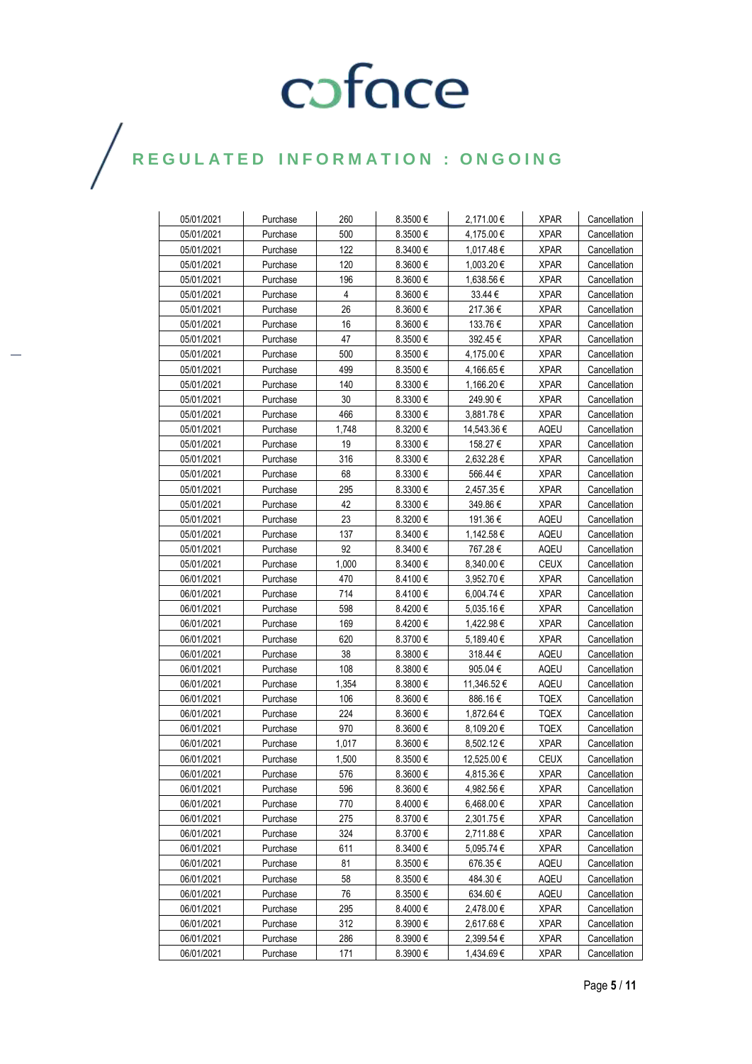| 05/01/2021 | Purchase | 260            | 8.3500€      | 2,171.00€      | <b>XPAR</b> | Cancellation |
|------------|----------|----------------|--------------|----------------|-------------|--------------|
| 05/01/2021 | Purchase | 500            | $8.3500 \in$ | 4,175.00 €     | <b>XPAR</b> | Cancellation |
| 05/01/2021 | Purchase | 122            | $8.3400 \in$ | 1,017.48€      | XPAR        | Cancellation |
| 05/01/2021 | Purchase | 120            | $8.3600 \in$ | 1,003.20 €     | XPAR        | Cancellation |
| 05/01/2021 | Purchase | 196            | $8.3600 \in$ | 1.638.56 €     | <b>XPAR</b> | Cancellation |
| 05/01/2021 | Purchase | $\overline{4}$ | $8.3600 \in$ | 33.44 €        | <b>XPAR</b> | Cancellation |
| 05/01/2021 | Purchase | 26             | $8.3600 \in$ | 217.36€        | <b>XPAR</b> | Cancellation |
| 05/01/2021 | Purchase | 16             | $8.3600 \in$ | 133.76 €       | <b>XPAR</b> | Cancellation |
| 05/01/2021 | Purchase | 47             | 8.3500€      | 392.45 €       | <b>XPAR</b> | Cancellation |
| 05/01/2021 | Purchase | 500            | $8.3500 \in$ | 4,175.00 €     | <b>XPAR</b> | Cancellation |
| 05/01/2021 | Purchase | 499            | 8.3500€      | 4,166.65 €     | <b>XPAR</b> | Cancellation |
| 05/01/2021 | Purchase | 140            | 8.3300€      | 1,166.20 €     | <b>XPAR</b> | Cancellation |
| 05/01/2021 | Purchase | 30             | $8.3300 \in$ | 249.90 €       | <b>XPAR</b> | Cancellation |
| 05/01/2021 | Purchase | 466            | $8.3300 \in$ | 3,881.78€      | <b>XPAR</b> | Cancellation |
| 05/01/2021 | Purchase | 1,748          | $8.3200 \in$ | 14,543.36 €    | AQEU        | Cancellation |
| 05/01/2021 | Purchase | 19             | $8.3300 \in$ | 158.27 €       | <b>XPAR</b> | Cancellation |
| 05/01/2021 | Purchase | 316            | $8.3300 \in$ | 2,632.28 €     | <b>XPAR</b> | Cancellation |
| 05/01/2021 | Purchase | 68             | $8.3300 \in$ | 566.44 €       | XPAR        | Cancellation |
| 05/01/2021 | Purchase | 295            | $8.3300 \in$ | 2,457.35€      | <b>XPAR</b> | Cancellation |
| 05/01/2021 | Purchase | 42             | $8.3300 \in$ | 349.86 €       | <b>XPAR</b> | Cancellation |
| 05/01/2021 | Purchase | 23             | $8.3200 \in$ | 191.36 €       | AQEU        | Cancellation |
| 05/01/2021 | Purchase | 137            | $8.3400 \in$ | 1.142.58€      | AQEU        | Cancellation |
| 05/01/2021 | Purchase | 92             | 8.3400€      | 767.28€        | AQEU        | Cancellation |
| 05/01/2021 | Purchase | 1,000          | 8.3400€      | $8,340.00 \in$ | CEUX        | Cancellation |
| 06/01/2021 | Purchase | 470            | 8.4100 €     | 3,952.70 €     | <b>XPAR</b> | Cancellation |
| 06/01/2021 | Purchase | 714            | 8.4100 €     | 6,004.74 €     | XPAR        | Cancellation |
| 06/01/2021 | Purchase | 598            | 8.4200€      | $5,035.16 \in$ | XPAR        | Cancellation |
| 06/01/2021 | Purchase | 169            | 8.4200 €     | 1,422.98 €     | XPAR        | Cancellation |
| 06/01/2021 | Purchase | 620            | 8.3700€      | 5,189.40 €     | <b>XPAR</b> | Cancellation |
| 06/01/2021 | Purchase | 38             | $8.3800 \in$ | 318.44 €       | AQEU        | Cancellation |
| 06/01/2021 | Purchase | 108            | $8.3800 \in$ | 905.04 $\in$   | AQEU        | Cancellation |
| 06/01/2021 | Purchase | 1,354          | $8.3800 \in$ | 11,346.52 €    | AQEU        | Cancellation |
| 06/01/2021 | Purchase | 106            | 8.3600€      | 886.16€        | TQEX        | Cancellation |
| 06/01/2021 | Purchase | 224            | $8.3600 \in$ | 1,872.64 €     | TQEX        | Cancellation |
| 06/01/2021 | Purchase | 970            | $8.3600 \in$ | 8,109.20€      | <b>TQEX</b> | Cancellation |
| 06/01/2021 | Purchase | 1,017          | 8.3600€      | 8,502.12 €     | <b>XPAR</b> | Cancellation |
| 06/01/2021 | Purchase | 1,500          | $8.3500 \in$ | 12,525.00 €    | CEUX        | Cancellation |
| 06/01/2021 | Purchase | 576            | 8.3600€      | 4,815.36€      | <b>XPAR</b> | Cancellation |
| 06/01/2021 | Purchase | 596            | 8.3600€      | 4,982.56 €     | <b>XPAR</b> | Cancellation |
| 06/01/2021 | Purchase | 770            | 8.4000 $\in$ | 6,468.00 €     | <b>XPAR</b> | Cancellation |
| 06/01/2021 | Purchase | 275            | 8.3700€      | 2,301.75€      | <b>XPAR</b> | Cancellation |
| 06/01/2021 | Purchase | 324            | 8.3700€      | 2,711.88€      | <b>XPAR</b> | Cancellation |
| 06/01/2021 | Purchase | 611            | 8.3400€      | 5,095.74 €     | <b>XPAR</b> | Cancellation |
| 06/01/2021 | Purchase | 81             | 8.3500€      | 676.35€        | AQEU        | Cancellation |
| 06/01/2021 | Purchase | 58             | $8.3500 \in$ | 484.30 €       | AQEU        | Cancellation |
| 06/01/2021 | Purchase | 76             | 8.3500€      | 634.60 €       | AQEU        | Cancellation |
| 06/01/2021 | Purchase | 295            | 8.4000€      | 2,478.00 €     | <b>XPAR</b> | Cancellation |
| 06/01/2021 | Purchase | 312            | 8.3900€      | 2,617.68€      | <b>XPAR</b> | Cancellation |
| 06/01/2021 | Purchase | 286            | 8.3900€      | 2,399.54 €     | <b>XPAR</b> | Cancellation |
| 06/01/2021 | Purchase | 171            | 8.3900€      | 1,434.69 €     | <b>XPAR</b> | Cancellation |
|            |          |                |              |                |             |              |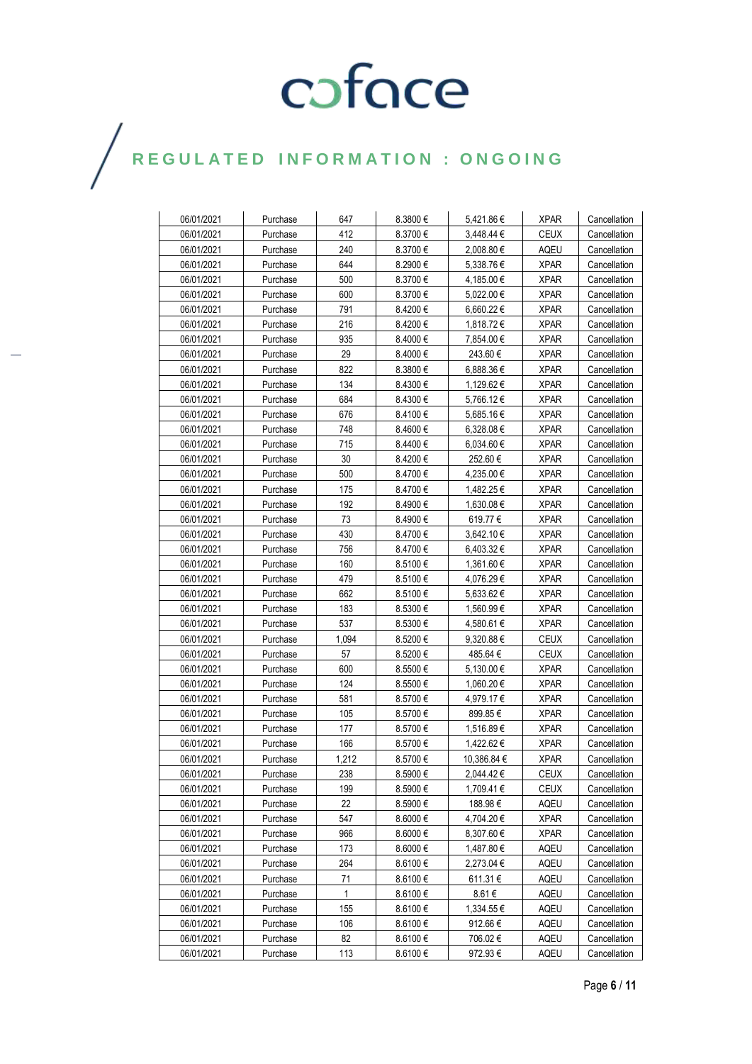| 06/01/2021 | Purchase | 647          | 8.3800 €     | 5,421.86€      | <b>XPAR</b> | Cancellation |
|------------|----------|--------------|--------------|----------------|-------------|--------------|
| 06/01/2021 | Purchase | 412          | 8.3700€      | 3,448.44 €     | CEUX        | Cancellation |
| 06/01/2021 | Purchase | 240          | 8.3700€      | 2.008.80€      | <b>AQEU</b> | Cancellation |
| 06/01/2021 | Purchase | 644          | 8.2900€      | 5,338.76€      | <b>XPAR</b> | Cancellation |
| 06/01/2021 | Purchase | 500          | 8.3700€      | 4,185.00 €     | <b>XPAR</b> | Cancellation |
| 06/01/2021 | Purchase | 600          | 8.3700€      | 5,022.00 €     | <b>XPAR</b> | Cancellation |
| 06/01/2021 | Purchase | 791          | 8.4200 €     | $6,660.22 \in$ | <b>XPAR</b> | Cancellation |
| 06/01/2021 | Purchase | 216          | 8.4200€      | 1,818.72 €     | <b>XPAR</b> | Cancellation |
| 06/01/2021 | Purchase | 935          | $8.4000 \in$ | 7.854.00 €     | <b>XPAR</b> | Cancellation |
| 06/01/2021 | Purchase | 29           | 8.4000€      | 243.60€        | <b>XPAR</b> | Cancellation |
| 06/01/2021 | Purchase | 822          | $8.3800 \in$ | 6,888.36€      | <b>XPAR</b> | Cancellation |
| 06/01/2021 | Purchase | 134          | $8.4300 \in$ | 1,129.62 €     | <b>XPAR</b> | Cancellation |
| 06/01/2021 | Purchase | 684          | $8.4300 \in$ | 5,766.12€      | <b>XPAR</b> | Cancellation |
| 06/01/2021 | Purchase | 676          | 8.4100 €     | 5,685.16 €     | <b>XPAR</b> | Cancellation |
| 06/01/2021 | Purchase | 748          | $8.4600 \in$ | $6,328.08 \in$ | <b>XPAR</b> | Cancellation |
| 06/01/2021 | Purchase | 715          | $8.4400 \in$ | $6,034.60 \in$ | <b>XPAR</b> | Cancellation |
| 06/01/2021 | Purchase | 30           | 8.4200 €     | 252.60 €       | <b>XPAR</b> | Cancellation |
| 06/01/2021 | Purchase | 500          | 8.4700 €     | 4,235.00 €     | <b>XPAR</b> | Cancellation |
| 06/01/2021 | Purchase | 175          | 8.4700 €     | 1.482.25€      | <b>XPAR</b> | Cancellation |
| 06/01/2021 | Purchase | 192          | 8.4900 €     | 1,630.08 €     | XPAR        | Cancellation |
| 06/01/2021 | Purchase | 73           | 8.4900 €     | 619.77€        | XPAR        | Cancellation |
| 06/01/2021 | Purchase | 430          | 8.4700 €     | 3.642.10€      | <b>XPAR</b> | Cancellation |
| 06/01/2021 | Purchase | 756          | 8.4700€      | $6,403.32 \in$ | <b>XPAR</b> | Cancellation |
| 06/01/2021 | Purchase | 160          | 8.5100€      | 1,361.60 €     | <b>XPAR</b> | Cancellation |
| 06/01/2021 | Purchase | 479          | 8.5100 €     | 4,076.29€      | XPAR        | Cancellation |
| 06/01/2021 | Purchase | 662          | 8.5100€      | 5,633.62 €     | <b>XPAR</b> | Cancellation |
| 06/01/2021 | Purchase | 183          | $8.5300 \in$ | 1,560.99 €     | <b>XPAR</b> | Cancellation |
| 06/01/2021 | Purchase | 537          | $8.5300 \in$ | 4,580.61 €     | <b>XPAR</b> | Cancellation |
| 06/01/2021 | Purchase | 1,094        | 8.5200€      | $9,320.88 \in$ | <b>CEUX</b> | Cancellation |
| 06/01/2021 | Purchase | 57           | 8.5200 €     | 485.64 €       | <b>CEUX</b> | Cancellation |
| 06/01/2021 | Purchase | 600          | $8.5500 \in$ | 5,130.00 €     | XPAR        | Cancellation |
| 06/01/2021 | Purchase | 124          | $8.5500 \in$ | 1,060.20 €     | <b>XPAR</b> | Cancellation |
| 06/01/2021 | Purchase | 581          | 8.5700€      | 4,979.17 €     | XPAR        | Cancellation |
| 06/01/2021 | Purchase | 105          | 8.5700 €     | 899.85€        | <b>XPAR</b> | Cancellation |
| 06/01/2021 | Purchase | 177          | 8.5700 €     | 1,516.89€      | <b>XPAR</b> | Cancellation |
| 06/01/2021 | Purchase | 166          | 8.5700€      | 1,422.62€      | <b>XPAR</b> | Cancellation |
| 06/01/2021 | Purchase | 1,212        | 8.5700 €     | 10,386.84 €    | <b>XPAR</b> | Cancellation |
| 06/01/2021 | Purchase | 238          | 8.5900€      | 2,044.42€      | <b>CEUX</b> | Cancellation |
| 06/01/2021 | Purchase | 199          | 8.5900€      | 1,709.41 €     | <b>CEUX</b> | Cancellation |
| 06/01/2021 | Purchase | 22           | 8.5900€      | 188.98€        | AQEU        | Cancellation |
| 06/01/2021 | Purchase | 547          | 8.6000€      | 4,704.20 €     | <b>XPAR</b> | Cancellation |
| 06/01/2021 | Purchase | 966          | 8.6000€      | 8,307.60 €     | <b>XPAR</b> | Cancellation |
| 06/01/2021 | Purchase | 173          | 8.6000€      | 1,487.80 €     | AQEU        | Cancellation |
| 06/01/2021 | Purchase | 264          | 8.6100€      | 2,273.04 €     | AQEU        | Cancellation |
| 06/01/2021 | Purchase | 71           | 8.6100€      | 611.31 €       | AQEU        | Cancellation |
| 06/01/2021 | Purchase | $\mathbf{1}$ | 8.6100€      | 8.61€          | AQEU        | Cancellation |
| 06/01/2021 | Purchase | 155          | 8.6100€      | 1,334.55€      | AQEU        | Cancellation |
| 06/01/2021 | Purchase | 106          | 8.6100€      | 912.66€        | AQEU        | Cancellation |
| 06/01/2021 | Purchase | 82           | 8.6100€      | 706.02€        | AQEU        | Cancellation |
| 06/01/2021 | Purchase | 113          | 8.6100€      | 972.93€        | AQEU        | Cancellation |
|            |          |              |              |                |             |              |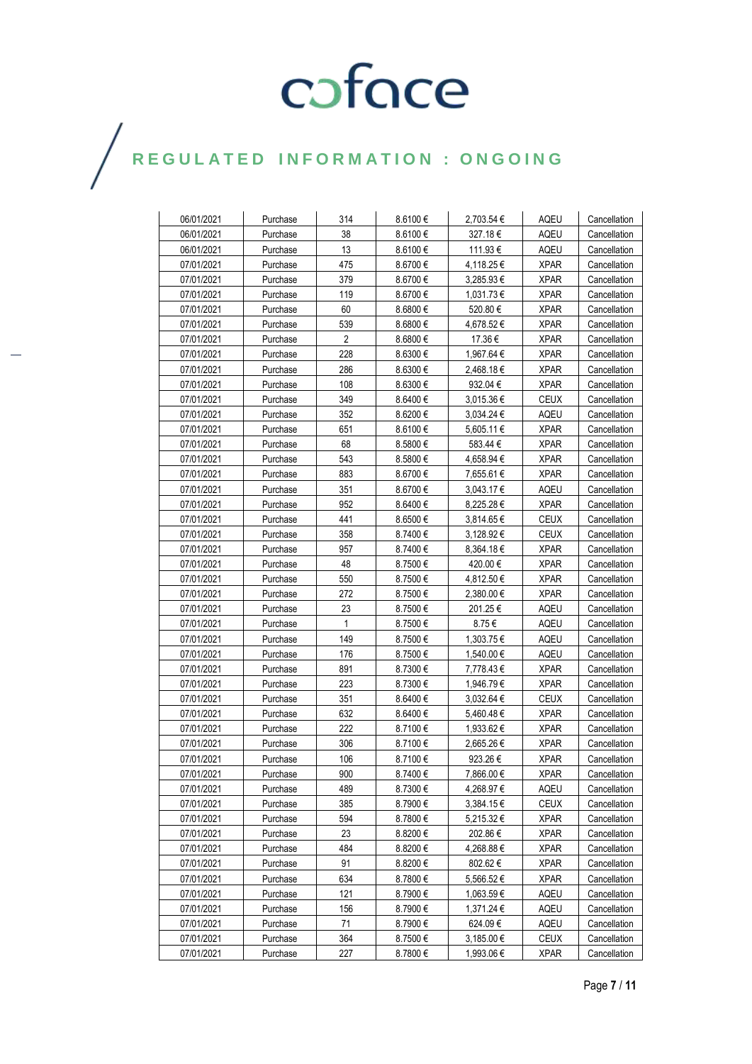| 06/01/2021 | Purchase | 314            | 8.6100€      | 2,703.54 €     | AQEU        | Cancellation |
|------------|----------|----------------|--------------|----------------|-------------|--------------|
| 06/01/2021 | Purchase | 38             | 8.6100€      | 327.18€        | AQEU        | Cancellation |
| 06/01/2021 | Purchase | 13             | $8.6100 \in$ | 111.93€        | AQEU        | Cancellation |
| 07/01/2021 | Purchase | 475            | $8.6700 \in$ | 4,118.25 €     | <b>XPAR</b> | Cancellation |
| 07/01/2021 | Purchase | 379            | $8.6700 \in$ | $3,285.93 \in$ | <b>XPAR</b> | Cancellation |
| 07/01/2021 | Purchase | 119            | $8.6700 \in$ | 1,031.73€      | <b>XPAR</b> | Cancellation |
| 07/01/2021 | Purchase | 60             | $8.6800 \in$ | 520.80 €       | XPAR        | Cancellation |
| 07/01/2021 | Purchase | 539            | $8.6800 \in$ | 4,678.52 €     | <b>XPAR</b> | Cancellation |
| 07/01/2021 | Purchase | $\overline{2}$ | $8.6800 \in$ | 17.36€         | <b>XPAR</b> | Cancellation |
| 07/01/2021 | Purchase | 228            | 8.6300€      | 1,967.64 €     | <b>XPAR</b> | Cancellation |
| 07/01/2021 | Purchase | 286            | 8.6300 €     | 2.468.18€      | <b>XPAR</b> | Cancellation |
| 07/01/2021 | Purchase | 108            | 8.6300 €     | 932.04 €       | <b>XPAR</b> | Cancellation |
| 07/01/2021 | Purchase | 349            | $8.6400 \in$ | 3,015.36 €     | <b>CEUX</b> | Cancellation |
| 07/01/2021 | Purchase | 352            | $8.6200 \in$ | $3,034.24 \in$ | AQEU        | Cancellation |
| 07/01/2021 | Purchase | 651            | $8.6100 \in$ | 5,605.11 €     | <b>XPAR</b> | Cancellation |
| 07/01/2021 | Purchase | 68             | $8.5800 \in$ | 583.44 €       | <b>XPAR</b> | Cancellation |
| 07/01/2021 | Purchase | 543            | $8.5800 \in$ | 4,658.94 €     | <b>XPAR</b> | Cancellation |
| 07/01/2021 | Purchase | 883            | 8.6700€      | 7,655.61 €     | <b>XPAR</b> | Cancellation |
| 07/01/2021 | Purchase | 351            | 8.6700 €     | 3,043.17 €     | AQEU        | Cancellation |
| 07/01/2021 | Purchase | 952            | 8.6400€      | 8,225.28€      | <b>XPAR</b> | Cancellation |
| 07/01/2021 | Purchase | 441            | $8.6500 \in$ | 3,814.65 €     | <b>CEUX</b> | Cancellation |
| 07/01/2021 | Purchase | 358            | 8.7400€      | 3,128.92 €     | <b>CEUX</b> | Cancellation |
| 07/01/2021 | Purchase | 957            | 8.7400€      | $8,364.18 \in$ | <b>XPAR</b> | Cancellation |
| 07/01/2021 | Purchase | 48             | 8.7500€      | 420.00 €       | <b>XPAR</b> | Cancellation |
| 07/01/2021 | Purchase | 550            | 8.7500€      | 4,812.50 €     | <b>XPAR</b> | Cancellation |
| 07/01/2021 | Purchase | 272            | 8.7500€      | 2,380.00€      | <b>XPAR</b> | Cancellation |
| 07/01/2021 | Purchase | 23             | 8.7500€      | 201.25€        | AQEU        | Cancellation |
| 07/01/2021 | Purchase | $\mathbf{1}$   | 8.7500€      | 8.75€          | AQEU        | Cancellation |
| 07/01/2021 | Purchase | 149            | 8.7500€      | 1,303.75 €     | AQEU        | Cancellation |
| 07/01/2021 | Purchase | 176            | 8.7500€      | 1,540.00 €     | AQEU        | Cancellation |
| 07/01/2021 | Purchase | 891            | 8.7300€      | 7,778.43€      | <b>XPAR</b> | Cancellation |
| 07/01/2021 | Purchase | 223            | 8.7300€      | 1,946.79€      | <b>XPAR</b> | Cancellation |
| 07/01/2021 | Purchase | 351            | $8.6400 \in$ | 3,032.64 €     | <b>CEUX</b> | Cancellation |
| 07/01/2021 | Purchase | 632            | $8.6400 \in$ | 5,460.48€      | XPAR        | Cancellation |
| 07/01/2021 | Purchase | 222            | 8.7100€      | 1,933.62 €     | <b>XPAR</b> | Cancellation |
| 07/01/2021 | Purchase | 306            | 8.7100€      | 2,665.26€      | <b>XPAR</b> | Cancellation |
| 07/01/2021 | Purchase | 106            | 8.7100€      | 923.26€        | <b>XPAR</b> | Cancellation |
| 07/01/2021 | Purchase | 900            | 8.7400€      | 7,866.00 €     | <b>XPAR</b> | Cancellation |
| 07/01/2021 | Purchase | 489            | 8.7300€      | 4,268.97 €     | AQEU        | Cancellation |
| 07/01/2021 | Purchase | 385            | 8.7900€      | 3,384.15€      | <b>CEUX</b> | Cancellation |
| 07/01/2021 | Purchase | 594            | 8.7800€      | 5,215.32 €     | <b>XPAR</b> | Cancellation |
| 07/01/2021 | Purchase | 23             | 8.8200 €     | 202.86€        | <b>XPAR</b> | Cancellation |
| 07/01/2021 | Purchase | 484            | 8.8200€      | 4,268.88€      | <b>XPAR</b> | Cancellation |
| 07/01/2021 | Purchase | 91             | 8.8200€      | 802.62€        | <b>XPAR</b> | Cancellation |
| 07/01/2021 | Purchase | 634            | $8.7800 \in$ | 5,566.52€      | <b>XPAR</b> | Cancellation |
| 07/01/2021 | Purchase | 121            | 8.7900€      | 1,063.59 €     | <b>AQEU</b> | Cancellation |
| 07/01/2021 | Purchase | 156            | 8.7900 €     | 1,371.24 €     | AQEU        | Cancellation |
| 07/01/2021 | Purchase | 71             | 8.7900€      | 624.09€        | AQEU        | Cancellation |
| 07/01/2021 | Purchase | 364            | 8.7500€      | 3,185.00 €     | <b>CEUX</b> | Cancellation |
| 07/01/2021 | Purchase | 227            | $8.7800 \in$ | 1,993.06 €     | <b>XPAR</b> | Cancellation |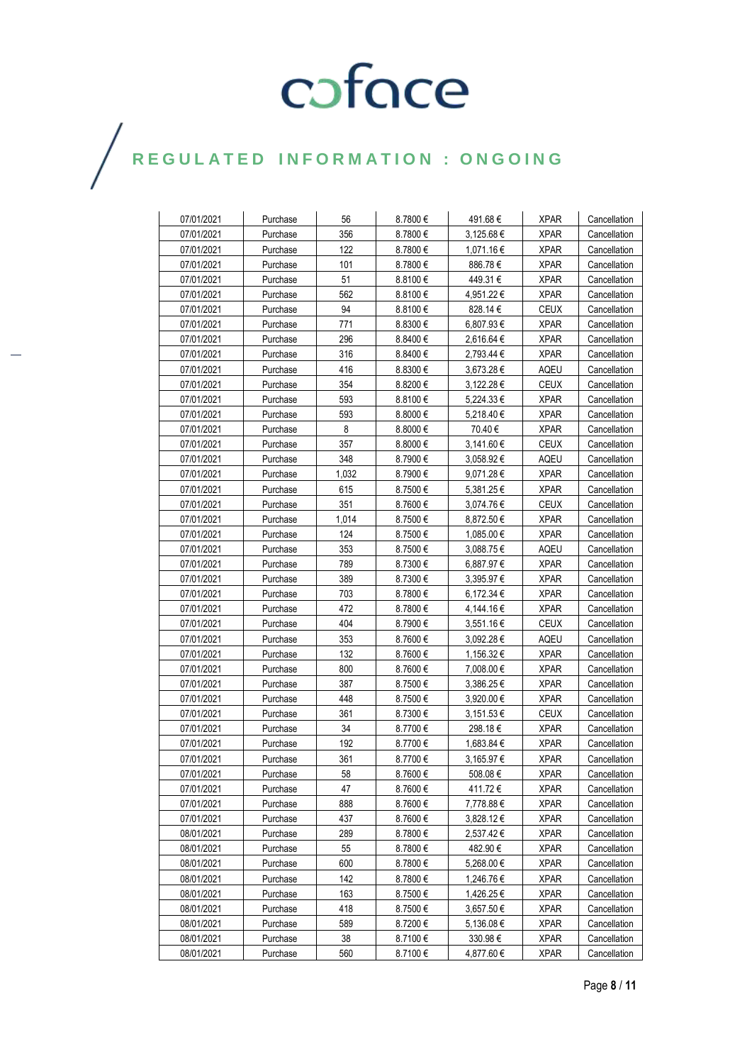| 07/01/2021 | Purchase | 56    | 8.7800€      | 491.68 €       | <b>XPAR</b> | Cancellation |
|------------|----------|-------|--------------|----------------|-------------|--------------|
| 07/01/2021 | Purchase | 356   | 8.7800€      | 3,125.68€      | <b>XPAR</b> | Cancellation |
| 07/01/2021 | Purchase | 122   | 8.7800€      | 1,071.16€      | <b>XPAR</b> | Cancellation |
| 07/01/2021 | Purchase | 101   | 8.7800€      | 886.78€        | <b>XPAR</b> | Cancellation |
| 07/01/2021 | Purchase | 51    | $8.8100 \in$ | 449.31€        | <b>XPAR</b> | Cancellation |
| 07/01/2021 | Purchase | 562   | $8.8100 \in$ | 4,951.22€      | <b>XPAR</b> | Cancellation |
| 07/01/2021 | Purchase | 94    | $8.8100 \in$ | 828.14€        | <b>CEUX</b> | Cancellation |
| 07/01/2021 | Purchase | 771   | $8.8300 \in$ | 6,807.93 €     | <b>XPAR</b> | Cancellation |
| 07/01/2021 | Purchase | 296   | $8.8400 \in$ | 2,616.64 €     | <b>XPAR</b> | Cancellation |
| 07/01/2021 | Purchase | 316   | 8.8400€      | 2,793.44 €     | <b>XPAR</b> | Cancellation |
| 07/01/2021 | Purchase | 416   | 8.8300€      | $3,673.28 \in$ | AQEU        | Cancellation |
| 07/01/2021 | Purchase | 354   | $8.8200 \in$ | $3,122.28 \in$ | <b>CEUX</b> | Cancellation |
| 07/01/2021 | Purchase | 593   | $8.8100 \in$ | 5,224.33€      | XPAR        | Cancellation |
| 07/01/2021 | Purchase | 593   | $8.8000 \in$ | 5,218.40 €     | <b>XPAR</b> | Cancellation |
| 07/01/2021 | Purchase | 8     | 8.8000 $\in$ | 70.40 €        | <b>XPAR</b> | Cancellation |
| 07/01/2021 | Purchase | 357   | $8.8000 \in$ | 3,141.60 €     | <b>CEUX</b> | Cancellation |
| 07/01/2021 | Purchase | 348   | 8.7900€      | 3,058.92€      | AQEU        | Cancellation |
| 07/01/2021 | Purchase | 1,032 | 8.7900€      | $9,071.28 \in$ | XPAR        | Cancellation |
| 07/01/2021 | Purchase | 615   | 8.7500€      | 5.381.25€      | <b>XPAR</b> | Cancellation |
| 07/01/2021 | Purchase | 351   | $8.7600 \in$ | 3,074.76€      | <b>CEUX</b> | Cancellation |
| 07/01/2021 | Purchase | 1,014 | 8.7500€      | 8,872.50 €     | <b>XPAR</b> | Cancellation |
| 07/01/2021 | Purchase | 124   | 8.7500€      | 1,085.00 €     | <b>XPAR</b> | Cancellation |
| 07/01/2021 | Purchase | 353   | 8.7500€      | 3,088.75€      | AQEU        | Cancellation |
| 07/01/2021 | Purchase | 789   | 8.7300€      | 6,887.97 €     | <b>XPAR</b> | Cancellation |
| 07/01/2021 | Purchase | 389   | 8.7300€      | 3,395.97 €     | <b>XPAR</b> | Cancellation |
| 07/01/2021 | Purchase | 703   | 8.7800€      | 6,172.34 €     | <b>XPAR</b> | Cancellation |
| 07/01/2021 | Purchase | 472   | 8.7800€      | 4,144.16€      | <b>XPAR</b> | Cancellation |
| 07/01/2021 | Purchase | 404   | 8.7900€      | 3,551.16€      | <b>CEUX</b> | Cancellation |
| 07/01/2021 | Purchase | 353   | 8.7600€      | 3,092.28 €     | AQEU        | Cancellation |
| 07/01/2021 | Purchase | 132   | 8.7600€      | 1,156.32 €     | <b>XPAR</b> | Cancellation |
| 07/01/2021 | Purchase | 800   | 8.7600€      | 7,008.00 €     | <b>XPAR</b> | Cancellation |
| 07/01/2021 | Purchase | 387   | 8.7500€      | 3,386.25 €     | <b>XPAR</b> | Cancellation |
| 07/01/2021 | Purchase | 448   | 8.7500€      | 3,920.00 €     | <b>XPAR</b> | Cancellation |
| 07/01/2021 | Purchase | 361   | 8.7300€      | 3,151.53 €     | <b>CEUX</b> | Cancellation |
| 07/01/2021 | Purchase | 34    | 8.7700€      | 298.18€        | <b>XPAR</b> | Cancellation |
| 07/01/2021 | Purchase | 192   | 8.7700€      | 1,683.84 €     | <b>XPAR</b> | Cancellation |
| 07/01/2021 | Purchase | 361   | 8.7700€      | 3,165.97 €     | <b>XPAR</b> | Cancellation |
| 07/01/2021 | Purchase | 58    | 8.7600€      | 508.08€        | <b>XPAR</b> | Cancellation |
| 07/01/2021 | Purchase | 47    | 8.7600€      | 411.72€        | <b>XPAR</b> | Cancellation |
| 07/01/2021 | Purchase | 888   | 8.7600€      | 7,778.88€      | XPAR        | Cancellation |
| 07/01/2021 | Purchase | 437   | 8.7600€      | 3,828.12€      | <b>XPAR</b> | Cancellation |
| 08/01/2021 | Purchase | 289   | 8.7800€      | 2,537.42 €     | <b>XPAR</b> | Cancellation |
| 08/01/2021 | Purchase | 55    | 8.7800€      | 482.90€        | <b>XPAR</b> | Cancellation |
| 08/01/2021 | Purchase | 600   | 8.7800€      | 5,268.00 €     | <b>XPAR</b> | Cancellation |
| 08/01/2021 | Purchase | 142   | 8.7800€      | 1,246.76€      | <b>XPAR</b> | Cancellation |
| 08/01/2021 | Purchase | 163   | 8.7500€      | 1,426.25€      | <b>XPAR</b> | Cancellation |
| 08/01/2021 | Purchase | 418   | 8.7500€      | 3,657.50€      | <b>XPAR</b> | Cancellation |
| 08/01/2021 | Purchase | 589   | 8.7200€      | 5,136.08€      | <b>XPAR</b> | Cancellation |
| 08/01/2021 | Purchase | 38    | 8.7100€      | 330.98€        | <b>XPAR</b> | Cancellation |
| 08/01/2021 | Purchase | 560   | 8.7100€      | 4,877.60€      | <b>XPAR</b> | Cancellation |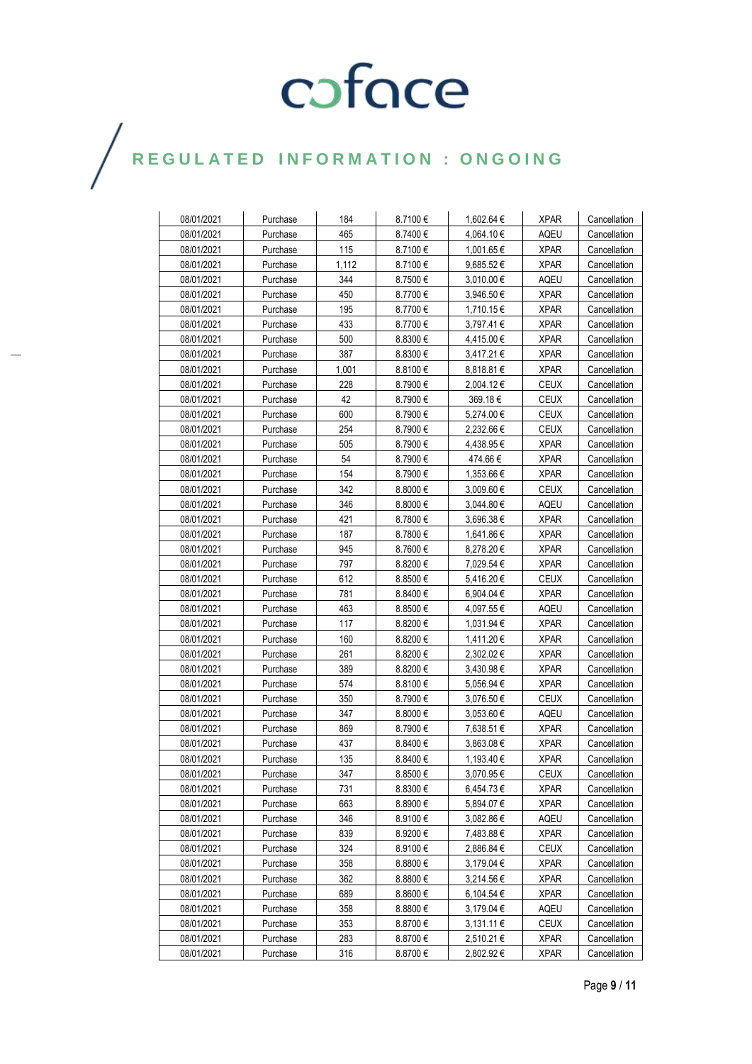| 08/01/2021 | Purchase | 184   | 8.7100€      | 1,602.64 €     | <b>XPAR</b> | Cancellation |
|------------|----------|-------|--------------|----------------|-------------|--------------|
| 08/01/2021 | Purchase | 465   | 8.7400€      | 4,064.10 €     | AQEU        | Cancellation |
| 08/01/2021 | Purchase | 115   | 8.7100€      | 1,001.65 €     | XPAR        | Cancellation |
| 08/01/2021 | Purchase | 1,112 | 8.7100€      | 9,685.52€      | XPAR        | Cancellation |
| 08/01/2021 | Purchase | 344   | 8.7500€      | 3,010.00 €     | AQEU        | Cancellation |
| 08/01/2021 | Purchase | 450   | 8.7700€      | 3,946.50 €     | <b>XPAR</b> | Cancellation |
| 08/01/2021 | Purchase | 195   | 8.7700€      | 1,710.15€      | <b>XPAR</b> | Cancellation |
| 08/01/2021 | Purchase | 433   | 8.7700€      | 3,797.41 €     | <b>XPAR</b> | Cancellation |
| 08/01/2021 | Purchase | 500   | $8.8300 \in$ | 4,415.00 €     | <b>XPAR</b> | Cancellation |
| 08/01/2021 | Purchase | 387   | $8.8300 \in$ | 3,417.21 €     | <b>XPAR</b> | Cancellation |
| 08/01/2021 | Purchase | 1,001 | 8.8100€      | 8,818.81€      | <b>XPAR</b> | Cancellation |
| 08/01/2021 | Purchase | 228   | 8.7900€      | 2,004.12 €     | <b>CEUX</b> | Cancellation |
| 08/01/2021 | Purchase | 42    | 8.7900€      | 369.18€        | <b>CEUX</b> | Cancellation |
| 08/01/2021 | Purchase | 600   | 8.7900€      | 5,274.00 €     | <b>CEUX</b> | Cancellation |
| 08/01/2021 | Purchase | 254   | 8.7900€      | 2,232.66 €     | <b>CEUX</b> | Cancellation |
| 08/01/2021 | Purchase | 505   | 8.7900 €     | 4,438.95 €     | XPAR        | Cancellation |
| 08/01/2021 | Purchase | 54    | 8.7900€      | 474.66€        | <b>XPAR</b> | Cancellation |
| 08/01/2021 | Purchase | 154   | 8.7900€      | 1,353.66 €     | XPAR        | Cancellation |
| 08/01/2021 | Purchase | 342   | $8.8000 \in$ | 3,009.60 €     | <b>CEUX</b> | Cancellation |
| 08/01/2021 | Purchase | 346   | $8.8000 \in$ | 3,044.80 €     | AQEU        | Cancellation |
| 08/01/2021 | Purchase | 421   | 8.7800€      | 3,696.38€      | XPAR        | Cancellation |
| 08/01/2021 | Purchase | 187   | 8.7800€      | 1,641.86 €     | XPAR        | Cancellation |
| 08/01/2021 | Purchase | 945   | $8.7600 \in$ | 8,278.20€      | XPAR        | Cancellation |
| 08/01/2021 | Purchase | 797   | 8.8200€      | 7,029.54 €     | XPAR        | Cancellation |
| 08/01/2021 | Purchase | 612   | $8.8500 \in$ | 5,416.20€      | CEUX        | Cancellation |
| 08/01/2021 | Purchase | 781   | $8.8400 \in$ | 6,904.04 €     | XPAR        | Cancellation |
| 08/01/2021 | Purchase | 463   | $8.8500 \in$ | 4,097.55 €     | AQEU        | Cancellation |
| 08/01/2021 | Purchase | 117   | 8.8200 €     | 1,031.94 €     | XPAR        | Cancellation |
| 08/01/2021 | Purchase | 160   | 8.8200€      | 1,411.20€      | <b>XPAR</b> | Cancellation |
| 08/01/2021 | Purchase | 261   | 8.8200 €     | 2,302.02 €     | <b>XPAR</b> | Cancellation |
| 08/01/2021 | Purchase | 389   | 8.8200 €     | 3,430.98 €     | <b>XPAR</b> | Cancellation |
| 08/01/2021 | Purchase | 574   | $8.8100 \in$ | 5,056.94 €     | <b>XPAR</b> | Cancellation |
| 08/01/2021 | Purchase | 350   | 8.7900€      | 3,076.50 €     | CEUX        | Cancellation |
| 08/01/2021 | Purchase | 347   | $8.8000 \in$ | $3,053.60 \in$ | AQEU        | Cancellation |
| 08/01/2021 | Purchase | 869   | 8.7900€      | 7,638.51 €     | <b>XPAR</b> | Cancellation |
| 08/01/2021 | Purchase | 437   | $8.8400 \in$ | 3.863.08€      | <b>XPAR</b> | Cancellation |
| 08/01/2021 | Purchase | 135   | $8.8400 \in$ | 1,193.40 €     | XPAR        | Cancellation |
| 08/01/2021 | Purchase | 347   | 8.8500 $\in$ | 3,070.95€      | CEUX        | Cancellation |
| 08/01/2021 | Purchase | 731   | $8.8300 \in$ | 6,454.73€      | <b>XPAR</b> | Cancellation |
| 08/01/2021 | Purchase | 663   | $8.8900 \in$ | 5,894.07 €     | <b>XPAR</b> | Cancellation |
| 08/01/2021 | Purchase | 346   | 8.9100 €     | 3,082.86 €     | AQEU        | Cancellation |
| 08/01/2021 | Purchase | 839   | 8.9200€      | 7,483.88€      | <b>XPAR</b> | Cancellation |
| 08/01/2021 | Purchase | 324   | 8.9100 €     | 2,886.84 €     | <b>CEUX</b> | Cancellation |
| 08/01/2021 | Purchase | 358   | $8.8800 \in$ | $3,179.04 \in$ | <b>XPAR</b> | Cancellation |
| 08/01/2021 | Purchase | 362   | $8.8800 \in$ | 3,214.56 €     | <b>XPAR</b> | Cancellation |
| 08/01/2021 | Purchase | 689   | 8.8600€      | 6,104.54 €     | <b>XPAR</b> | Cancellation |
| 08/01/2021 | Purchase | 358   | 8.8800€      | $3,179.04 \in$ | AQEU        | Cancellation |
| 08/01/2021 | Purchase | 353   | 8.8700€      | $3,131.11 \in$ | <b>CEUX</b> | Cancellation |
| 08/01/2021 | Purchase | 283   | 8.8700 €     | 2,510.21€      | <b>XPAR</b> | Cancellation |
| 08/01/2021 | Purchase | 316   | 8.8700€      | 2,802.92 €     | <b>XPAR</b> | Cancellation |
|            |          |       |              |                |             |              |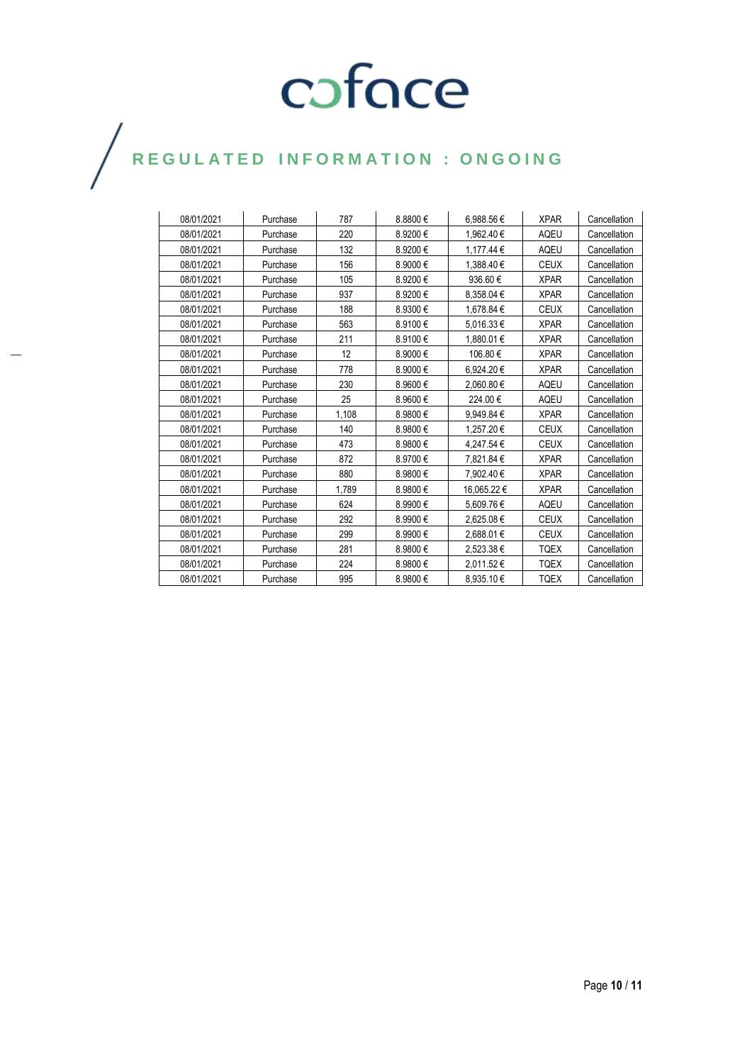| 08/01/2021 | Purchase | 787   | 8.8800€ | 6,988.56€   | <b>XPAR</b> | Cancellation |
|------------|----------|-------|---------|-------------|-------------|--------------|
| 08/01/2021 | Purchase | 220   | 8.9200€ | 1,962.40€   | AQEU        | Cancellation |
| 08/01/2021 | Purchase | 132   | 8.9200€ | 1.177.44 €  | <b>AQEU</b> | Cancellation |
| 08/01/2021 | Purchase | 156   | 8.9000€ | 1,388.40€   | <b>CEUX</b> | Cancellation |
| 08/01/2021 | Purchase | 105   | 8.9200€ | 936.60€     | <b>XPAR</b> | Cancellation |
| 08/01/2021 | Purchase | 937   | 8.9200€ | 8,358.04 €  | <b>XPAR</b> | Cancellation |
| 08/01/2021 | Purchase | 188   | 8.9300€ | 1.678.84 €  | <b>CEUX</b> | Cancellation |
| 08/01/2021 | Purchase | 563   | 8.9100€ | 5,016.33€   | <b>XPAR</b> | Cancellation |
| 08/01/2021 | Purchase | 211   | 8.9100€ | 1.880.01 €  | <b>XPAR</b> | Cancellation |
| 08/01/2021 | Purchase | 12    | 8.9000€ | 106.80€     | <b>XPAR</b> | Cancellation |
| 08/01/2021 | Purchase | 778   | 8.9000€ | 6.924.20€   | <b>XPAR</b> | Cancellation |
| 08/01/2021 | Purchase | 230   | 8.9600€ | 2.060.80 €  | <b>AQEU</b> | Cancellation |
| 08/01/2021 | Purchase | 25    | 8.9600€ | 224.00€     | <b>AQEU</b> | Cancellation |
| 08/01/2021 | Purchase | 1,108 | 8.9800€ | 9,949.84€   | <b>XPAR</b> | Cancellation |
| 08/01/2021 | Purchase | 140   | 8.9800€ | 1.257.20€   | <b>CEUX</b> | Cancellation |
| 08/01/2021 | Purchase | 473   | 8.9800€ | 4.247.54 €  | <b>CEUX</b> | Cancellation |
| 08/01/2021 | Purchase | 872   | 8.9700€ | 7,821.84 €  | <b>XPAR</b> | Cancellation |
| 08/01/2021 | Purchase | 880   | 8.9800€ | 7.902.40€   | <b>XPAR</b> | Cancellation |
| 08/01/2021 | Purchase | 1.789 | 8.9800€ | 16,065.22 € | <b>XPAR</b> | Cancellation |
| 08/01/2021 | Purchase | 624   | 8.9900€ | 5,609.76€   | <b>AQEU</b> | Cancellation |
| 08/01/2021 | Purchase | 292   | 8.9900€ | 2,625.08€   | <b>CEUX</b> | Cancellation |
| 08/01/2021 | Purchase | 299   | 8.9900€ | 2,688.01€   | <b>CEUX</b> | Cancellation |
| 08/01/2021 | Purchase | 281   | 8.9800€ | 2,523.38€   | <b>TQEX</b> | Cancellation |
| 08/01/2021 | Purchase | 224   | 8.9800€ | 2,011.52€   | <b>TQEX</b> | Cancellation |
| 08/01/2021 | Purchase | 995   | 8.9800€ | 8.935.10€   | <b>TQEX</b> | Cancellation |